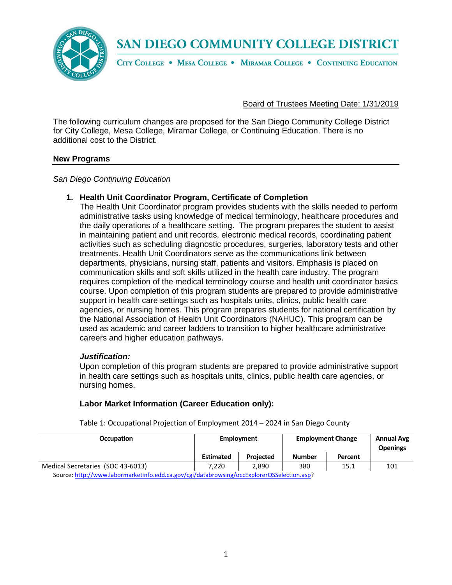

CITY COLLEGE . MESA COLLEGE . MIRAMAR COLLEGE . CONTINUING EDUCATION

### Board of Trustees Meeting Date: 1/31/2019

The following curriculum changes are proposed for the San Diego Community College District for City College, Mesa College, Miramar College, or Continuing Education. There is no additional cost to the District.

### **New Programs**

*San Diego Continuing Education*

## **1. Health Unit Coordinator Program, Certificate of Completion**

The Health Unit Coordinator program provides students with the skills needed to perform administrative tasks using knowledge of medical terminology, healthcare procedures and the daily operations of a healthcare setting. The program prepares the student to assist in maintaining patient and unit records, electronic medical records, coordinating patient activities such as scheduling diagnostic procedures, surgeries, laboratory tests and other treatments. Health Unit Coordinators serve as the communications link between departments, physicians, nursing staff, patients and visitors. Emphasis is placed on communication skills and soft skills utilized in the health care industry. The program requires completion of the medical terminology course and health unit coordinator basics course. Upon completion of this program students are prepared to provide administrative support in health care settings such as hospitals units, clinics, public health care agencies, or nursing homes. This program prepares students for national certification by the National Association of Health Unit Coordinators (NAHUC). This program can be used as academic and career ladders to transition to higher healthcare administrative careers and higher education pathways.

### *Justification:*

Upon completion of this program students are prepared to provide administrative support in health care settings such as hospitals units, clinics, public health care agencies, or nursing homes.

## **Labor Market Information (Career Education only):**

| <b>Employment</b> |                  |               | <b>Annual Avg</b><br><b>Openings</b> |                          |
|-------------------|------------------|---------------|--------------------------------------|--------------------------|
| <b>Estimated</b>  | <b>Projected</b> | <b>Number</b> | Percent                              |                          |
| 7.220             | 2.890            | 380           | 15.1                                 | 101                      |
|                   |                  |               |                                      | <b>Employment Change</b> |

Table 1: Occupational Projection of Employment 2014 – 2024 in San Diego County

Source[: http://www.labormarketinfo.edd.ca.gov/cgi/databrowsing/occExplorerQSSelection.asp?](http://www.labormarketinfo.edd.ca.gov/cgi/databrowsing/occExplorerQSSelection.asp)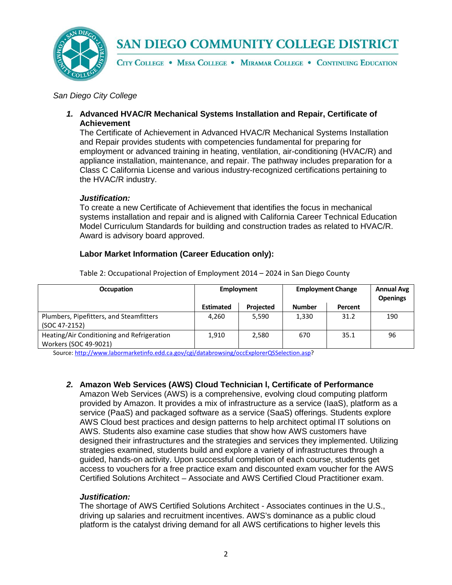

CITY COLLEGE . MESA COLLEGE . MIRAMAR COLLEGE . CONTINUING EDUCATION

### *San Diego City College*

*1.* **Advanced HVAC/R Mechanical Systems Installation and Repair, Certificate of Achievement**

The Certificate of Achievement in Advanced HVAC/R Mechanical Systems Installation and Repair provides students with competencies fundamental for preparing for employment or advanced training in heating, ventilation, air-conditioning (HVAC/R) and appliance installation, maintenance, and repair. The pathway includes preparation for a Class C California License and various industry-recognized certifications pertaining to the HVAC/R industry.

### *Justification:*

To create a new Certificate of Achievement that identifies the focus in mechanical systems installation and repair and is aligned with California Career Technical Education Model Curriculum Standards for building and construction trades as related to HVAC/R. Award is advisory board approved.

## **Labor Market Information (Career Education only):**

| <b>Occupation</b>                          | Employment       |                  | <b>Employment Change</b> | <b>Annual Avg</b><br><b>Openings</b> |     |
|--------------------------------------------|------------------|------------------|--------------------------|--------------------------------------|-----|
|                                            | <b>Estimated</b> | <b>Projected</b> | <b>Number</b>            | Percent                              |     |
| Plumbers, Pipefitters, and Steamfitters    | 4.260            | 5,590            | 1,330                    | 31.2                                 | 190 |
| (SOC 47-2152)                              |                  |                  |                          |                                      |     |
| Heating/Air Conditioning and Refrigeration | 1,910            | 2,580            | 670                      | 35.1                                 | 96  |
| Workers (SOC 49-9021)                      |                  |                  |                          |                                      |     |

Table 2: Occupational Projection of Employment 2014 – 2024 in San Diego County

Source[: http://www.labormarketinfo.edd.ca.gov/cgi/databrowsing/occExplorerQSSelection.asp?](http://www.labormarketinfo.edd.ca.gov/cgi/databrowsing/occExplorerQSSelection.asp)

## *2.* **Amazon Web Services (AWS) Cloud Technician l, Certificate of Performance**

Amazon Web Services (AWS) is a comprehensive, evolving cloud computing platform provided by Amazon. It provides a mix of infrastructure as a service (IaaS), platform as a service (PaaS) and packaged software as a service (SaaS) offerings. Students explore AWS Cloud best practices and design patterns to help architect optimal IT solutions on AWS. Students also examine case studies that show how AWS customers have designed their infrastructures and the strategies and services they implemented. Utilizing strategies examined, students build and explore a variety of infrastructures through a guided, hands-on activity. Upon successful completion of each course, students get access to vouchers for a free practice exam and discounted exam voucher for the AWS Certified Solutions Architect – Associate and AWS Certified Cloud Practitioner exam.

### *Justification:*

The shortage of AWS Certified Solutions Architect - Associates continues in the U.S., driving up salaries and recruitment incentives. AWS's dominance as a public cloud platform is the catalyst driving demand for all AWS certifications to higher levels this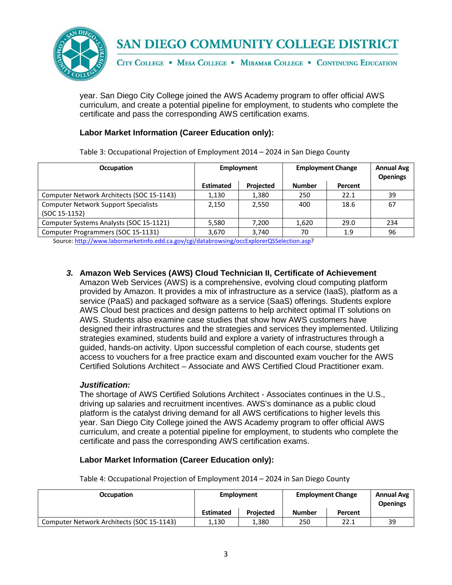

CITY COLLEGE . MESA COLLEGE . MIRAMAR COLLEGE . CONTINUING EDUCATION

year. San Diego City College joined the AWS Academy program to offer official AWS curriculum, and create a potential pipeline for employment, to students who complete the certificate and pass the corresponding AWS certification exams.

## **Labor Market Information (Career Education only):**

Table 3: Occupational Projection of Employment 2014 – 2024 in San Diego County

| <b>Occupation</b>                           | Employment       |                  | <b>Employment Change</b> | <b>Annual Avg</b><br><b>Openings</b> |     |
|---------------------------------------------|------------------|------------------|--------------------------|--------------------------------------|-----|
|                                             | <b>Estimated</b> | <b>Projected</b> | <b>Number</b>            | Percent                              |     |
| Computer Network Architects (SOC 15-1143)   | 1,130            | 1,380            | 250                      | 22.1                                 | 39  |
| <b>Computer Network Support Specialists</b> | 2,150            | 2.550            | 400                      | 18.6                                 | 67  |
| (SOC 15-1152)                               |                  |                  |                          |                                      |     |
| Computer Systems Analysts (SOC 15-1121)     | 5,580            | 7.200            | 1,620                    | 29.0                                 | 234 |
| Computer Programmers (SOC 15-1131)          | 3,670            | 3,740            | 70                       | 1.9                                  | 96  |

Source[: http://www.labormarketinfo.edd.ca.gov/cgi/databrowsing/occExplorerQSSelection.asp?](http://www.labormarketinfo.edd.ca.gov/cgi/databrowsing/occExplorerQSSelection.asp)

## *3.* **Amazon Web Services (AWS) Cloud Technician II, Certificate of Achievement**

Amazon Web Services (AWS) is a comprehensive, evolving cloud computing platform provided by Amazon. It provides a mix of infrastructure as a service (IaaS), platform as a service (PaaS) and packaged software as a service (SaaS) offerings. Students explore AWS Cloud best practices and design patterns to help architect optimal IT solutions on AWS. Students also examine case studies that show how AWS customers have designed their infrastructures and the strategies and services they implemented. Utilizing strategies examined, students build and explore a variety of infrastructures through a guided, hands-on activity. Upon successful completion of each course, students get access to vouchers for a free practice exam and discounted exam voucher for the AWS Certified Solutions Architect – Associate and AWS Certified Cloud Practitioner exam.

### *Justification:*

The shortage of AWS Certified Solutions Architect - Associates continues in the U.S., driving up salaries and recruitment incentives. AWS's dominance as a public cloud platform is the catalyst driving demand for all AWS certifications to higher levels this year. San Diego City College joined the AWS Academy program to offer official AWS curriculum, and create a potential pipeline for employment, to students who complete the certificate and pass the corresponding AWS certification exams.

## **Labor Market Information (Career Education only):**

Table 4: Occupational Projection of Employment 2014 – 2024 in San Diego County

| <b>Occupation</b>                         | Employment       |                  | <b>Employment Change</b> | <b>Annual Avg</b><br><b>Openings</b> |    |
|-------------------------------------------|------------------|------------------|--------------------------|--------------------------------------|----|
|                                           | <b>Estimated</b> | <b>Projected</b> | Number                   | Percent                              |    |
| Computer Network Architects (SOC 15-1143) | 1.130            | 1.380            | 250                      | 22.1                                 | 39 |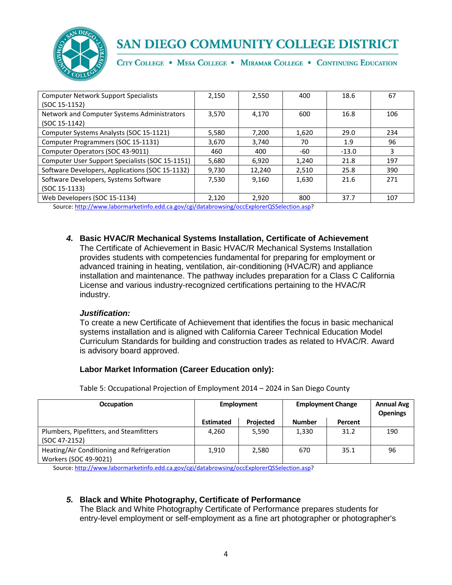

CITY COLLEGE . MESA COLLEGE . MIRAMAR COLLEGE . CONTINUING EDUCATION

| <b>Computer Network Support Specialists</b>     | 2,150 | 2,550  | 400   | 18.6    | 67  |
|-------------------------------------------------|-------|--------|-------|---------|-----|
| (SOC 15-1152)                                   |       |        |       |         |     |
| Network and Computer Systems Administrators     | 3.570 | 4.170  | 600   | 16.8    | 106 |
| (SOC 15-1142)                                   |       |        |       |         |     |
| Computer Systems Analysts (SOC 15-1121)         | 5,580 | 7,200  | 1,620 | 29.0    | 234 |
| Computer Programmers (SOC 15-1131)              | 3,670 | 3,740  | 70    | 1.9     | 96  |
| Computer Operators (SOC 43-9011)                | 460   | 400    | -60   | $-13.0$ | 3   |
| Computer User Support Specialists (SOC 15-1151) | 5,680 | 6,920  | 1,240 | 21.8    | 197 |
| Software Developers, Applications (SOC 15-1132) | 9,730 | 12,240 | 2,510 | 25.8    | 390 |
| Software Developers, Systems Software           | 7.530 | 9.160  | 1,630 | 21.6    | 271 |
| $(SOC 15-1133)$                                 |       |        |       |         |     |
| Web Developers (SOC 15-1134)                    | 2.120 | 2.920  | 800   | 37.7    | 107 |

Source[: http://www.labormarketinfo.edd.ca.gov/cgi/databrowsing/occExplorerQSSelection.asp?](http://www.labormarketinfo.edd.ca.gov/cgi/databrowsing/occExplorerQSSelection.asp)

*4.* **Basic HVAC/R Mechanical Systems Installation, Certificate of Achievement** The Certificate of Achievement in Basic HVAC/R Mechanical Systems Installation provides students with competencies fundamental for preparing for employment or advanced training in heating, ventilation, air-conditioning (HVAC/R) and appliance installation and maintenance. The pathway includes preparation for a Class C California License and various industry-recognized certifications pertaining to the HVAC/R industry.

### *Justification:*

To create a new Certificate of Achievement that identifies the focus in basic mechanical systems installation and is aligned with California Career Technical Education Model Curriculum Standards for building and construction trades as related to HVAC/R. Award is advisory board approved.

## **Labor Market Information (Career Education only):**

**Occupation Employment Employment Change Annual Avg Openings Estimated Projected Number Percent** Plumbers, Pipefitters, and Steamfitters (SOC 47-2152) 4,260 | 5,590 | 1,330 | 31.2 | 190 Heating/Air Conditioning and Refrigeration Workers (SOC 49-9021) 1,910 | 2,580 | 670 | 35.1 | 96

Table 5: Occupational Projection of Employment 2014 – 2024 in San Diego County

Source[: http://www.labormarketinfo.edd.ca.gov/cgi/databrowsing/occExplorerQSSelection.asp?](http://www.labormarketinfo.edd.ca.gov/cgi/databrowsing/occExplorerQSSelection.asp)

## *5.* **Black and White Photography, Certificate of Performance**

The Black and White Photography Certificate of Performance prepares students for entry-level employment or self-employment as a fine art photographer or photographer's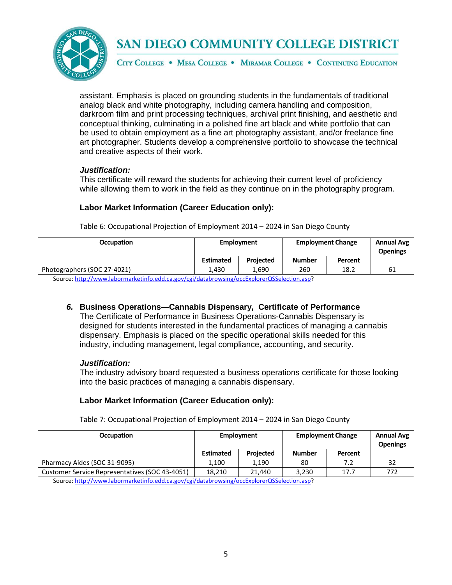

CITY COLLEGE . MESA COLLEGE . MIRAMAR COLLEGE . CONTINUING EDUCATION

assistant. Emphasis is placed on grounding students in the fundamentals of traditional analog black and white photography, including camera handling and composition, darkroom film and print processing techniques, archival print finishing, and aesthetic and conceptual thinking, culminating in a polished fine art black and white portfolio that can be used to obtain employment as a fine art photography assistant, and/or freelance fine art photographer. Students develop a comprehensive portfolio to showcase the technical and creative aspects of their work.

## *Justification:*

This certificate will reward the students for achieving their current level of proficiency while allowing them to work in the field as they continue on in the photography program.

## **Labor Market Information (Career Education only):**

| <b>Occupation</b>                                                                         | Employment       |                  | <b>Employment Change</b> | <b>Annual Avg</b><br><b>Openings</b> |    |
|-------------------------------------------------------------------------------------------|------------------|------------------|--------------------------|--------------------------------------|----|
|                                                                                           | <b>Estimated</b> | <b>Projected</b> | <b>Number</b>            | Percent                              |    |
| Photographers (SOC 27-4021)                                                               | 1.430            | 1.690            | 260                      | 18.2                                 | 61 |
| Course http://www.labormarkatinfo.edd.ca.gov/sgi/databrowsing/ossEvplorerOSSelection.asp? |                  |                  |                          |                                      |    |

Table 6: Occupational Projection of Employment 2014 – 2024 in San Diego County

Source[: http://www.labormarketinfo.edd.ca.gov/cgi/databrowsing/occExplorerQSSelection.asp?](http://www.labormarketinfo.edd.ca.gov/cgi/databrowsing/occExplorerQSSelection.asp)

*6.* **Business Operations—Cannabis Dispensary, Certificate of Performance** The Certificate of Performance in Business Operations-Cannabis Dispensary is designed for students interested in the fundamental practices of managing a cannabis dispensary. Emphasis is placed on the specific operational skills needed for this industry, including management, legal compliance, accounting, and security.

## *Justification:*

The industry advisory board requested a business operations certificate for those looking into the basic practices of managing a cannabis dispensary.

## **Labor Market Information (Career Education only):**

Table 7: Occupational Projection of Employment 2014 – 2024 in San Diego County

| Employment       |                  |               | <b>Annual Avg</b><br><b>Openings</b> |                          |
|------------------|------------------|---------------|--------------------------------------|--------------------------|
| <b>Estimated</b> | <b>Projected</b> | <b>Number</b> | Percent                              |                          |
| 1.100            | 1.190            | 80            | 7.2                                  | 32                       |
| 18.210           | 21.440           | 3.230         | 17.7                                 | 772                      |
|                  |                  |               |                                      | <b>Employment Change</b> |

Source[: http://www.labormarketinfo.edd.ca.gov/cgi/databrowsing/occExplorerQSSelection.asp?](http://www.labormarketinfo.edd.ca.gov/cgi/databrowsing/occExplorerQSSelection.asp)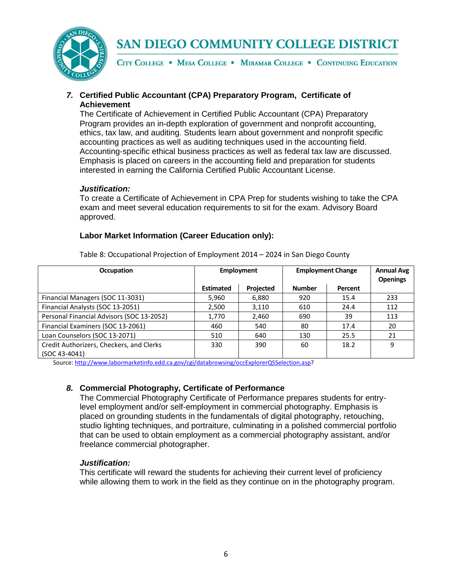

CITY COLLEGE . MESA COLLEGE . MIRAMAR COLLEGE . CONTINUING EDUCATION

## *7.* **Certified Public Accountant (CPA) Preparatory Program, Certificate of Achievement**

The Certificate of Achievement in Certified Public Accountant (CPA) Preparatory Program provides an in-depth exploration of government and nonprofit accounting, ethics, tax law, and auditing. Students learn about government and nonprofit specific accounting practices as well as auditing techniques used in the accounting field. Accounting-specific ethical business practices as well as federal tax law are discussed. Emphasis is placed on careers in the accounting field and preparation for students interested in earning the California Certified Public Accountant License.

## *Justification:*

To create a Certificate of Achievement in CPA Prep for students wishing to take the CPA exam and meet several education requirements to sit for the exam. Advisory Board approved.

## **Labor Market Information (Career Education only):**

| <b>Occupation</b>                         | <b>Employment</b> |           | <b>Employment Change</b> | <b>Annual Avg</b><br><b>Openings</b> |     |
|-------------------------------------------|-------------------|-----------|--------------------------|--------------------------------------|-----|
|                                           | <b>Estimated</b>  | Projected | <b>Number</b>            | Percent                              |     |
| Financial Managers (SOC 11-3031)          | 5,960             | 6.880     | 920                      | 15.4                                 | 233 |
| Financial Analysts (SOC 13-2051)          | 2,500             | 3,110     | 610                      | 24.4                                 | 112 |
| Personal Financial Advisors (SOC 13-2052) | 1,770             | 2,460     | 690                      | 39                                   | 113 |
| Financial Examiners (SOC 13-2061)         | 460               | 540       | 80                       | 17.4                                 | 20  |
| Loan Counselors (SOC 13-2071)             | 510               | 640       | 130                      | 25.5                                 | 21  |
| Credit Authorizers, Checkers, and Clerks  | 330               | 390       | 60                       | 18.2                                 | 9   |
| (SOC 43-4041)                             |                   |           |                          |                                      |     |

Table 8: Occupational Projection of Employment 2014 – 2024 in San Diego County

Source[: http://www.labormarketinfo.edd.ca.gov/cgi/databrowsing/occExplorerQSSelection.asp?](http://www.labormarketinfo.edd.ca.gov/cgi/databrowsing/occExplorerQSSelection.asp)

## *8.* **Commercial Photography, Certificate of Performance**

The Commercial Photography Certificate of Performance prepares students for entrylevel employment and/or self-employment in commercial photography. Emphasis is placed on grounding students in the fundamentals of digital photography, retouching, studio lighting techniques, and portraiture, culminating in a polished commercial portfolio that can be used to obtain employment as a commercial photography assistant, and/or freelance commercial photographer.

## *Justification:*

This certificate will reward the students for achieving their current level of proficiency while allowing them to work in the field as they continue on in the photography program.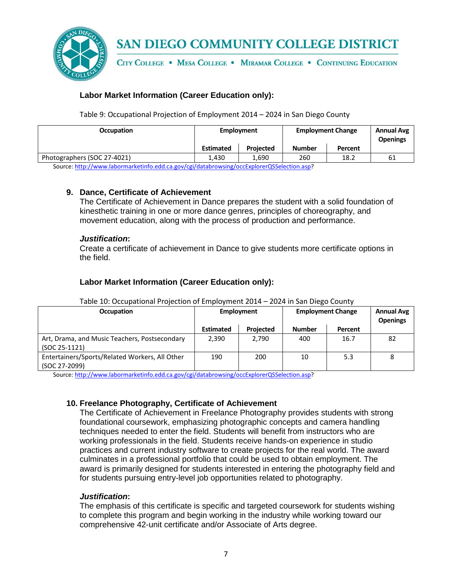

CITY COLLEGE . MESA COLLEGE . MIRAMAR COLLEGE . CONTINUING EDUCATION

## **Labor Market Information (Career Education only):**

Table 9: Occupational Projection of Employment 2014 – 2024 in San Diego County

| <b>Occupation</b>           | Employment       |                  | <b>Employment Change</b> |         | <b>Annual Avg</b><br><b>Openings</b> |
|-----------------------------|------------------|------------------|--------------------------|---------|--------------------------------------|
|                             | <b>Estimated</b> | <b>Projected</b> | <b>Number</b>            | Percent |                                      |
| Photographers (SOC 27-4021) | 1.430            | 1.690            | 260                      | 18.2    | 61                                   |
| .<br>___                    | .                | __<br>--------   |                          |         |                                      |

Source[: http://www.labormarketinfo.edd.ca.gov/cgi/databrowsing/occExplorerQSSelection.asp?](http://www.labormarketinfo.edd.ca.gov/cgi/databrowsing/occExplorerQSSelection.asp)

## **9. Dance, Certificate of Achievement**

The Certificate of Achievement in Dance prepares the student with a solid foundation of kinesthetic training in one or more dance genres, principles of choreography, and movement education, along with the process of production and performance.

### *Justification***:**

Create a certificate of achievement in Dance to give students more certificate options in the field.

## **Labor Market Information (Career Education only):**

| $1800$ and $2000$ because for the properties of the properties and $201$ for $2000$ because $2000$ |                  |                  |                          |         |                                      |  |  |
|----------------------------------------------------------------------------------------------------|------------------|------------------|--------------------------|---------|--------------------------------------|--|--|
| <b>Occupation</b>                                                                                  | Employment       |                  | <b>Employment Change</b> |         | <b>Annual Avg</b><br><b>Openings</b> |  |  |
|                                                                                                    | <b>Estimated</b> | <b>Projected</b> | <b>Number</b>            | Percent |                                      |  |  |
| Art, Drama, and Music Teachers, Postsecondary                                                      | 2.390            | 2.790            | 400                      | 16.7    | 82                                   |  |  |
| $(SOC 25-1121)$                                                                                    |                  |                  |                          |         |                                      |  |  |
| Entertainers/Sports/Related Workers, All Other                                                     | 190              | 200              | 10                       | 5.3     |                                      |  |  |
| (SOC 27-2099)                                                                                      |                  |                  |                          |         |                                      |  |  |

### Table 10: Occupational Projection of Employment 2014 – 2024 in San Diego County

Source[: http://www.labormarketinfo.edd.ca.gov/cgi/databrowsing/occExplorerQSSelection.asp?](http://www.labormarketinfo.edd.ca.gov/cgi/databrowsing/occExplorerQSSelection.asp)

## **10. Freelance Photography, Certificate of Achievement**

The Certificate of Achievement in Freelance Photography provides students with strong foundational coursework, emphasizing photographic concepts and camera handling techniques needed to enter the field. Students will benefit from instructors who are working professionals in the field. Students receive hands-on experience in studio practices and current industry software to create projects for the real world. The award culminates in a professional portfolio that could be used to obtain employment. The award is primarily designed for students interested in entering the photography field and for students pursuing entry-level job opportunities related to photography.

## *Justification***:**

The emphasis of this certificate is specific and targeted coursework for students wishing to complete this program and begin working in the industry while working toward our comprehensive 42-unit certificate and/or Associate of Arts degree.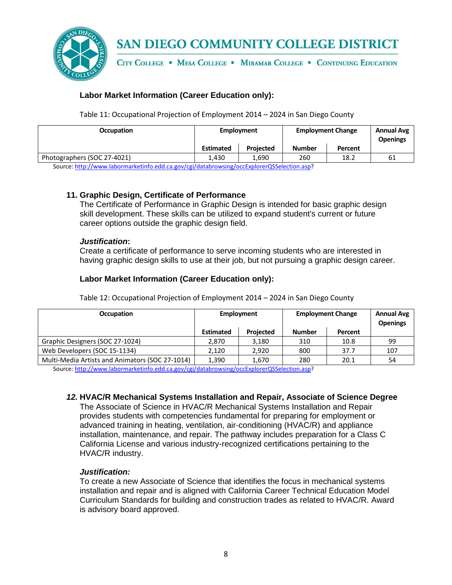

CITY COLLEGE . MESA COLLEGE . MIRAMAR COLLEGE . CONTINUING EDUCATION

## **Labor Market Information (Career Education only):**

Table 11: Occupational Projection of Employment 2014 – 2024 in San Diego County

| <b>Occupation</b>                | Employment       |                                                                                                                                                                                                                                                                                                                                                                                                                                                                                               | <b>Employment Change</b> |         | <b>Annual Avg</b><br><b>Openings</b> |
|----------------------------------|------------------|-----------------------------------------------------------------------------------------------------------------------------------------------------------------------------------------------------------------------------------------------------------------------------------------------------------------------------------------------------------------------------------------------------------------------------------------------------------------------------------------------|--------------------------|---------|--------------------------------------|
|                                  | <b>Estimated</b> | <b>Projected</b>                                                                                                                                                                                                                                                                                                                                                                                                                                                                              | Number                   | Percent |                                      |
| Photographers (SOC 27-4021)      | 1.430            | 1.690                                                                                                                                                                                                                                                                                                                                                                                                                                                                                         | 260                      | 18.2    | -61                                  |
| $\cdots$ $\cdots$<br>.<br>$\sim$ | .                | $\begin{array}{ccccccccccccccccc} \hline \multicolumn{3}{c} \multicolumn{3}{c} \multicolumn{3}{c} \multicolumn{3}{c} \multicolumn{3}{c} \multicolumn{3}{c} \multicolumn{3}{c} \multicolumn{3}{c} \multicolumn{3}{c} \multicolumn{3}{c} \multicolumn{3}{c} \multicolumn{3}{c} \multicolumn{3}{c} \multicolumn{3}{c} \multicolumn{3}{c} \multicolumn{3}{c} \multicolumn{3}{c} \multicolumn{3}{c} \multicolumn{3}{c} \multicolumn{3}{c} \multicolumn{3}{c} \multicolumn{3}{c} \multicolumn{3}{c$ |                          |         |                                      |

Source[: http://www.labormarketinfo.edd.ca.gov/cgi/databrowsing/occExplorerQSSelection.asp?](http://www.labormarketinfo.edd.ca.gov/cgi/databrowsing/occExplorerQSSelection.asp)

## **11. Graphic Design, Certificate of Performance**

The Certificate of Performance in Graphic Design is intended for basic graphic design skill development. These skills can be utilized to expand student's current or future career options outside the graphic design field.

### *Justification***:**

Create a certificate of performance to serve incoming students who are interested in having graphic design skills to use at their job, but not pursuing a graphic design career.

## **Labor Market Information (Career Education only):**

| <b>Occupation</b>                               | Employment       |                  | <b>Employment Change</b> | <b>Annual Avg</b><br><b>Openings</b> |     |
|-------------------------------------------------|------------------|------------------|--------------------------|--------------------------------------|-----|
|                                                 | <b>Estimated</b> | <b>Projected</b> | <b>Number</b>            | Percent                              |     |
| Graphic Designers (SOC 27-1024)                 | 2.870            | 3,180            | 310                      | 10.8                                 | 99  |
| Web Developers (SOC 15-1134)                    | 2.120            | 2.920            | 800                      | 37.7                                 | 107 |
| Multi-Media Artists and Animators (SOC 27-1014) | 1.390            | 1,670            | 280                      | 20.1                                 | 54  |

Table 12: Occupational Projection of Employment 2014 – 2024 in San Diego County

Source[: http://www.labormarketinfo.edd.ca.gov/cgi/databrowsing/occExplorerQSSelection.asp?](http://www.labormarketinfo.edd.ca.gov/cgi/databrowsing/occExplorerQSSelection.asp)

### *12.* **HVAC/R Mechanical Systems Installation and Repair, Associate of Science Degree**

The Associate of Science in HVAC/R Mechanical Systems Installation and Repair provides students with competencies fundamental for preparing for employment or advanced training in heating, ventilation, air-conditioning (HVAC/R) and appliance installation, maintenance, and repair. The pathway includes preparation for a Class C California License and various industry-recognized certifications pertaining to the HVAC/R industry.

## *Justification:*

To create a new Associate of Science that identifies the focus in mechanical systems installation and repair and is aligned with California Career Technical Education Model Curriculum Standards for building and construction trades as related to HVAC/R. Award is advisory board approved.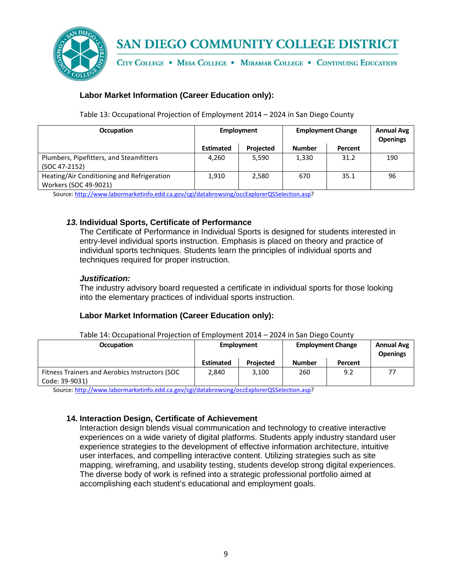

CITY COLLEGE . MESA COLLEGE . MIRAMAR COLLEGE . CONTINUING EDUCATION

## **Labor Market Information (Career Education only):**

Table 13: Occupational Projection of Employment 2014 – 2024 in San Diego County

| <b>Occupation</b>                                                   | Employment       |                  | <b>Employment Change</b> | <b>Annual Avg</b><br><b>Openings</b> |     |
|---------------------------------------------------------------------|------------------|------------------|--------------------------|--------------------------------------|-----|
|                                                                     | <b>Estimated</b> | <b>Projected</b> | <b>Number</b>            | Percent                              |     |
| Plumbers, Pipefitters, and Steamfitters<br>(SOC 47-2152)            | 4.260            | 5.590            | 1,330                    | 31.2                                 | 190 |
| Heating/Air Conditioning and Refrigeration<br>Workers (SOC 49-9021) | 1,910            | 2,580            | 670                      | 35.1                                 | 96  |

Source[: http://www.labormarketinfo.edd.ca.gov/cgi/databrowsing/occExplorerQSSelection.asp?](http://www.labormarketinfo.edd.ca.gov/cgi/databrowsing/occExplorerQSSelection.asp)

## *13.* **Individual Sports, Certificate of Performance**

The Certificate of Performance in Individual Sports is designed for students interested in entry-level individual sports instruction. Emphasis is placed on theory and practice of individual sports techniques. Students learn the principles of individual sports and techniques required for proper instruction.

## *Justification:*

The industry advisory board requested a certificate in individual sports for those looking into the elementary practices of individual sports instruction.

## **Labor Market Information (Career Education only):**

| <b>LUL IIII JUII DICKU COUIILY</b>                               |                  |                  |                          |         |                                      |  |  |
|------------------------------------------------------------------|------------------|------------------|--------------------------|---------|--------------------------------------|--|--|
| <b>Occupation</b>                                                | Employment       |                  | <b>Employment Change</b> |         | <b>Annual Avg</b><br><b>Openings</b> |  |  |
|                                                                  | <b>Estimated</b> | <b>Projected</b> | <b>Number</b>            | Percent |                                      |  |  |
| Fitness Trainers and Aerobics Instructors (SOC<br>Code: 39-9031) | 2.840            | 3.100            | 260                      | 9.2     |                                      |  |  |
|                                                                  |                  |                  |                          |         |                                      |  |  |

Table 14: Occupational Projection of Employment 2014 – 2024 in San Diego County

Source[: http://www.labormarketinfo.edd.ca.gov/cgi/databrowsing/occExplorerQSSelection.asp?](http://www.labormarketinfo.edd.ca.gov/cgi/databrowsing/occExplorerQSSelection.asp)

## **14. Interaction Design, Certificate of Achievement**

Interaction design blends visual communication and technology to creative interactive experiences on a wide variety of digital platforms. Students apply industry standard user experience strategies to the development of effective information architecture, intuitive user interfaces, and compelling interactive content. Utilizing strategies such as site mapping, wireframing, and usability testing, students develop strong digital experiences. The diverse body of work is refined into a strategic professional portfolio aimed at accomplishing each student's educational and employment goals.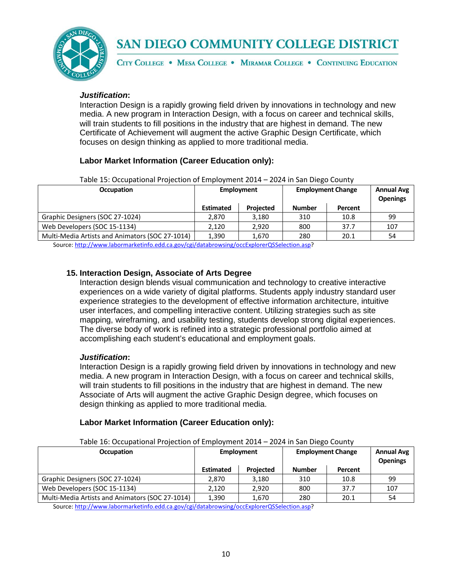

CITY COLLEGE . MESA COLLEGE . MIRAMAR COLLEGE . CONTINUING EDUCATION

### *Justification***:**

Interaction Design is a rapidly growing field driven by innovations in technology and new media. A new program in Interaction Design, with a focus on career and technical skills, will train students to fill positions in the industry that are highest in demand. The new Certificate of Achievement will augment the active Graphic Design Certificate, which focuses on design thinking as applied to more traditional media.

## **Labor Market Information (Career Education only):**

| Table 19. Occupational Florection of Employment 2014 – 2024 in Jan Dicko County |                   |                  |                          |                                      |     |  |  |
|---------------------------------------------------------------------------------|-------------------|------------------|--------------------------|--------------------------------------|-----|--|--|
| <b>Occupation</b>                                                               | <b>Employment</b> |                  | <b>Employment Change</b> | <b>Annual Avg</b><br><b>Openings</b> |     |  |  |
|                                                                                 | <b>Estimated</b>  | <b>Projected</b> | <b>Number</b>            | Percent                              |     |  |  |
| Graphic Designers (SOC 27-1024)                                                 | 2.870             | 3.180            | 310                      | 10.8                                 | 99  |  |  |
| Web Developers (SOC 15-1134)                                                    | 2.120             | 2.920            | 800                      | 37.7                                 | 107 |  |  |
| Multi-Media Artists and Animators (SOC 27-1014)                                 | 1.390             | 1.670            | 280                      | 20.1                                 | 54  |  |  |
| $\alpha$ and $\alpha$ is the state of the state of $\alpha$ and $\alpha$        |                   |                  |                          |                                      |     |  |  |

Table 15: Occupational Projection of Employment 2014 – 2024 in San Diego County

Source[: http://www.labormarketinfo.edd.ca.gov/cgi/databrowsing/occExplorerQSSelection.asp?](http://www.labormarketinfo.edd.ca.gov/cgi/databrowsing/occExplorerQSSelection.asp)

## **15. Interaction Design, Associate of Arts Degree**

Interaction design blends visual communication and technology to creative interactive experiences on a wide variety of digital platforms. Students apply industry standard user experience strategies to the development of effective information architecture, intuitive user interfaces, and compelling interactive content. Utilizing strategies such as site mapping, wireframing, and usability testing, students develop strong digital experiences. The diverse body of work is refined into a strategic professional portfolio aimed at accomplishing each student's educational and employment goals.

### *Justification***:**

Interaction Design is a rapidly growing field driven by innovations in technology and new media. A new program in Interaction Design, with a focus on career and technical skills, will train students to fill positions in the industry that are highest in demand. The new Associate of Arts will augment the active Graphic Design degree, which focuses on design thinking as applied to more traditional media.

## **Labor Market Information (Career Education only):**

Table 16: Occupational Projection of Employment 2014 – 2024 in San Diego County

| <b>Occupation</b>                               | <b>Employment</b> |                  | <b>Employment Change</b> |         | <b>Annual Avg</b><br><b>Openings</b> |
|-------------------------------------------------|-------------------|------------------|--------------------------|---------|--------------------------------------|
|                                                 | <b>Estimated</b>  | <b>Projected</b> | <b>Number</b>            | Percent |                                      |
| Graphic Designers (SOC 27-1024)                 | 2.870             | 3.180            | 310                      | 10.8    | 99                                   |
| Web Developers (SOC 15-1134)                    | 2.120             | 2.920            | 800                      | 37.7    | 107                                  |
| Multi-Media Artists and Animators (SOC 27-1014) | 1,390             | 1.670            | 280                      | 20.1    | 54                                   |

Source[: http://www.labormarketinfo.edd.ca.gov/cgi/databrowsing/occExplorerQSSelection.asp?](http://www.labormarketinfo.edd.ca.gov/cgi/databrowsing/occExplorerQSSelection.asp)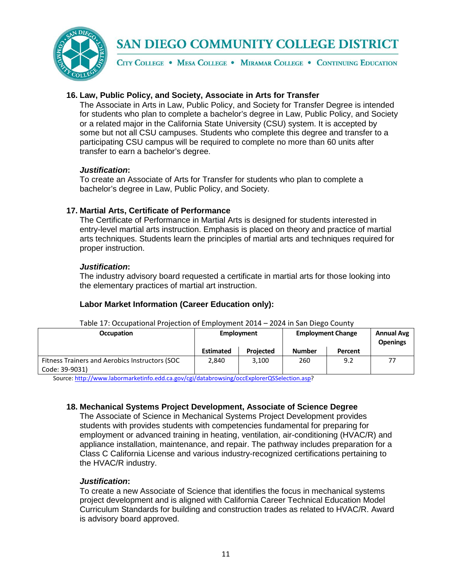

CITY COLLEGE . MESA COLLEGE . MIRAMAR COLLEGE . CONTINUING EDUCATION

## **16. Law, Public Policy, and Society, Associate in Arts for Transfer**

The Associate in Arts in Law, Public Policy, and Society for Transfer Degree is intended for students who plan to complete a bachelor's degree in Law, Public Policy, and Society or a related major in the California State University (CSU) system. It is accepted by some but not all CSU campuses. Students who complete this degree and transfer to a participating CSU campus will be required to complete no more than 60 units after transfer to earn a bachelor's degree.

### *Justification***:**

To create an Associate of Arts for Transfer for students who plan to complete a bachelor's degree in Law, Public Policy, and Society.

## **17. Martial Arts, Certificate of Performance**

The Certificate of Performance in Martial Arts is designed for students interested in entry-level martial arts instruction. Emphasis is placed on theory and practice of martial arts techniques. Students learn the principles of martial arts and techniques required for proper instruction.

## *Justification***:**

The industry advisory board requested a certificate in martial arts for those looking into the elementary practices of martial art instruction.

## **Labor Market Information (Career Education only):**

| <b>Occupation</b>                                                | Employment       |                  | <b>Employment Change</b> | <b>Annual Avg</b><br><b>Openings</b> |  |
|------------------------------------------------------------------|------------------|------------------|--------------------------|--------------------------------------|--|
|                                                                  | <b>Estimated</b> | <b>Projected</b> | <b>Number</b>            | Percent                              |  |
| Fitness Trainers and Aerobics Instructors (SOC<br>Code: 39-9031) | 2.840            | 3.100            | 260                      | 9.2                                  |  |

Table 17: Occupational Projection of Employment 2014 – 2024 in San Diego County

Source[: http://www.labormarketinfo.edd.ca.gov/cgi/databrowsing/occExplorerQSSelection.asp?](http://www.labormarketinfo.edd.ca.gov/cgi/databrowsing/occExplorerQSSelection.asp)

## **18. Mechanical Systems Project Development, Associate of Science Degree**

The Associate of Science in Mechanical Systems Project Development provides students with provides students with competencies fundamental for preparing for employment or advanced training in heating, ventilation, air-conditioning (HVAC/R) and appliance installation, maintenance, and repair. The pathway includes preparation for a Class C California License and various industry-recognized certifications pertaining to the HVAC/R industry.

## *Justification***:**

To create a new Associate of Science that identifies the focus in mechanical systems project development and is aligned with California Career Technical Education Model Curriculum Standards for building and construction trades as related to HVAC/R. Award is advisory board approved.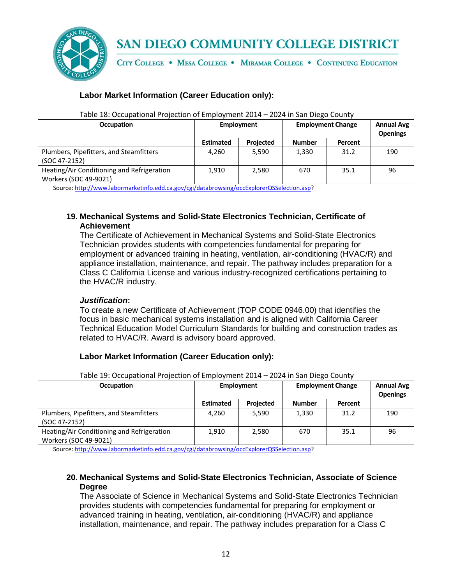

CITY COLLEGE . MESA COLLEGE . MIRAMAR COLLEGE . CONTINUING EDUCATION

## **Labor Market Information (Career Education only):**

| <b>Occupation</b>                                                   | Employment       |                  | <b>Employment Change</b> |         | <b>Annual Avg</b><br><b>Openings</b> |
|---------------------------------------------------------------------|------------------|------------------|--------------------------|---------|--------------------------------------|
|                                                                     | <b>Estimated</b> | <b>Projected</b> | <b>Number</b>            | Percent |                                      |
| Plumbers, Pipefitters, and Steamfitters<br>(SOC 47-2152)            | 4.260            | 5,590            | 1,330                    | 31.2    | 190                                  |
| Heating/Air Conditioning and Refrigeration<br>Workers (SOC 49-9021) | 1,910            | 2,580            | 670                      | 35.1    | 96                                   |

Table 18: Occupational Projection of Employment 2014 – 2024 in San Diego County

Source[: http://www.labormarketinfo.edd.ca.gov/cgi/databrowsing/occExplorerQSSelection.asp?](http://www.labormarketinfo.edd.ca.gov/cgi/databrowsing/occExplorerQSSelection.asp)

## **19. Mechanical Systems and Solid-State Electronics Technician, Certificate of Achievement**

The Certificate of Achievement in Mechanical Systems and Solid-State Electronics Technician provides students with competencies fundamental for preparing for employment or advanced training in heating, ventilation, air-conditioning (HVAC/R) and appliance installation, maintenance, and repair. The pathway includes preparation for a Class C California License and various industry-recognized certifications pertaining to the HVAC/R industry.

## *Justification***:**

To create a new Certificate of Achievement (TOP CODE 0946.00) that identifies the focus in basic mechanical systems installation and is aligned with California Career Technical Education Model Curriculum Standards for building and construction trades as related to HVAC/R. Award is advisory board approved.

## **Labor Market Information (Career Education only):**

| <b>Occupation</b>                                                   | Employment       |                  | <b>Employment Change</b> |         | <b>Annual Avg</b><br><b>Openings</b> |  |  |
|---------------------------------------------------------------------|------------------|------------------|--------------------------|---------|--------------------------------------|--|--|
|                                                                     | <b>Estimated</b> | <b>Projected</b> | <b>Number</b>            | Percent |                                      |  |  |
| Plumbers, Pipefitters, and Steamfitters<br>(SOC 47-2152)            | 4.260            | 5.590            | 1,330                    | 31.2    | 190                                  |  |  |
| Heating/Air Conditioning and Refrigeration<br>Workers (SOC 49-9021) | 1,910            | 2,580            | 670                      | 35.1    | 96                                   |  |  |

Table 19: Occupational Projection of Employment 2014 – 2024 in San Diego County

Source[: http://www.labormarketinfo.edd.ca.gov/cgi/databrowsing/occExplorerQSSelection.asp?](http://www.labormarketinfo.edd.ca.gov/cgi/databrowsing/occExplorerQSSelection.asp)

## **20. Mechanical Systems and Solid-State Electronics Technician, Associate of Science Degree**

The Associate of Science in Mechanical Systems and Solid-State Electronics Technician provides students with competencies fundamental for preparing for employment or advanced training in heating, ventilation, air-conditioning (HVAC/R) and appliance installation, maintenance, and repair. The pathway includes preparation for a Class C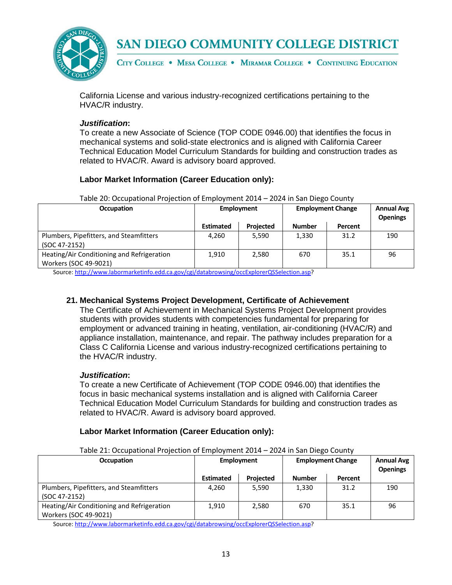

CITY COLLEGE . MESA COLLEGE . MIRAMAR COLLEGE . CONTINUING EDUCATION

California License and various industry-recognized certifications pertaining to the HVAC/R industry.

### *Justification***:**

To create a new Associate of Science (TOP CODE 0946.00) that identifies the focus in mechanical systems and solid-state electronics and is aligned with California Career Technical Education Model Curriculum Standards for building and construction trades as related to HVAC/R. Award is advisory board approved.

## **Labor Market Information (Career Education only):**

| Table 20: Occupational Projection of Employment 2014 - 2024 in San Diego County |  |
|---------------------------------------------------------------------------------|--|
|---------------------------------------------------------------------------------|--|

| <b>Occupation</b>                                                   | Employment       |                  | <b>Employment Change</b> | <b>Annual Avg</b><br><b>Openings</b> |     |
|---------------------------------------------------------------------|------------------|------------------|--------------------------|--------------------------------------|-----|
|                                                                     | <b>Estimated</b> | <b>Projected</b> | <b>Number</b>            | Percent                              |     |
| Plumbers, Pipefitters, and Steamfitters<br>(SOC 47-2152)            | 4,260            | 5.590            | 1,330                    | 31.2                                 | 190 |
| Heating/Air Conditioning and Refrigeration<br>Workers (SOC 49-9021) | 1,910            | 2,580            | 670                      | 35.1                                 | 96  |

Source[: http://www.labormarketinfo.edd.ca.gov/cgi/databrowsing/occExplorerQSSelection.asp?](http://www.labormarketinfo.edd.ca.gov/cgi/databrowsing/occExplorerQSSelection.asp)

## **21. Mechanical Systems Project Development, Certificate of Achievement**

The Certificate of Achievement in Mechanical Systems Project Development provides students with provides students with competencies fundamental for preparing for employment or advanced training in heating, ventilation, air-conditioning (HVAC/R) and appliance installation, maintenance, and repair. The pathway includes preparation for a Class C California License and various industry-recognized certifications pertaining to the HVAC/R industry.

## *Justification***:**

To create a new Certificate of Achievement (TOP CODE 0946.00) that identifies the focus in basic mechanical systems installation and is aligned with California Career Technical Education Model Curriculum Standards for building and construction trades as related to HVAC/R. Award is advisory board approved.

## **Labor Market Information (Career Education only):**

| Table 21: Occupational Projection of Employment 2014 – 2024 in San Diego County<br><b>Occupation</b> | <b>Employment</b> |                  | <b>Employment Change</b> |         | <b>Annual Avg</b><br><b>Openings</b> |
|------------------------------------------------------------------------------------------------------|-------------------|------------------|--------------------------|---------|--------------------------------------|
|                                                                                                      | <b>Estimated</b>  | <b>Projected</b> | <b>Number</b>            | Percent |                                      |
| Plumbers, Pipefitters, and Steamfitters<br>(SOC 47-2152)                                             | 4.260             | 5,590            | 1,330                    | 31.2    | 190                                  |
| Heating/Air Conditioning and Refrigeration<br>Workers (SOC 49-9021)                                  | 1.910             | 2,580            | 670                      | 35.1    | 96                                   |

Table 21: Occupational Projection of Employment 2014 – 2024 in San Diego County

Source[: http://www.labormarketinfo.edd.ca.gov/cgi/databrowsing/occExplorerQSSelection.asp?](http://www.labormarketinfo.edd.ca.gov/cgi/databrowsing/occExplorerQSSelection.asp)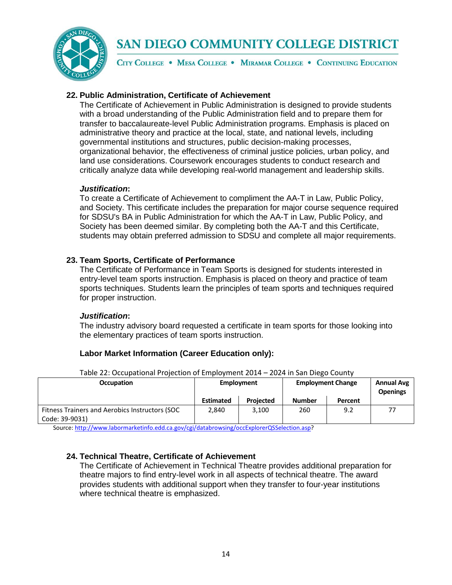

CITY COLLEGE . MESA COLLEGE . MIRAMAR COLLEGE . CONTINUING EDUCATION

## **22. Public Administration, Certificate of Achievement**

The Certificate of Achievement in Public Administration is designed to provide students with a broad understanding of the Public Administration field and to prepare them for transfer to baccalaureate-level Public Administration programs. Emphasis is placed on administrative theory and practice at the local, state, and national levels, including governmental institutions and structures, public decision-making processes, organizational behavior, the effectiveness of criminal justice policies, urban policy, and land use considerations. Coursework encourages students to conduct research and critically analyze data while developing real-world management and leadership skills.

### *Justification***:**

To create a Certificate of Achievement to compliment the AA-T in Law, Public Policy, and Society. This certificate includes the preparation for major course sequence required for SDSU's BA in Public Administration for which the AA-T in Law, Public Policy, and Society has been deemed similar. By completing both the AA-T and this Certificate, students may obtain preferred admission to SDSU and complete all major requirements.

## **23. Team Sports, Certificate of Performance**

The Certificate of Performance in Team Sports is designed for students interested in entry-level team sports instruction. Emphasis is placed on theory and practice of team sports techniques. Students learn the principles of team sports and techniques required for proper instruction.

### *Justification***:**

The industry advisory board requested a certificate in team sports for those looking into the elementary practices of team sports instruction.

## **Labor Market Information (Career Education only):**

| <b>Occupation</b>                                                | rabic 22. Occupationar rivicction or Employment 2014 – 2024 in Jan Dicgo County<br><b>Employment</b> |                  | <b>Employment Change</b> | <b>Annual Avg</b><br><b>Openings</b> |  |
|------------------------------------------------------------------|------------------------------------------------------------------------------------------------------|------------------|--------------------------|--------------------------------------|--|
|                                                                  | <b>Estimated</b>                                                                                     | <b>Projected</b> | <b>Number</b>            | Percent                              |  |
| Fitness Trainers and Aerobics Instructors (SOC<br>Code: 39-9031) | 2.840                                                                                                | 3.100            | 260                      | 9.2                                  |  |

Table 22: Occupational Projection of Employment 2014 – 2024 in San Diego County

Source[: http://www.labormarketinfo.edd.ca.gov/cgi/databrowsing/occExplorerQSSelection.asp?](http://www.labormarketinfo.edd.ca.gov/cgi/databrowsing/occExplorerQSSelection.asp)

## **24. Technical Theatre, Certificate of Achievement**

The Certificate of Achievement in Technical Theatre provides additional preparation for theatre majors to find entry-level work in all aspects of technical theatre. The award provides students with additional support when they transfer to four-year institutions where technical theatre is emphasized.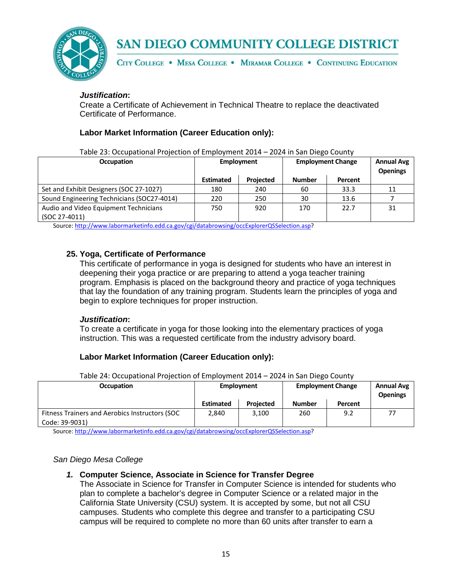

CITY COLLEGE . MESA COLLEGE . MIRAMAR COLLEGE . CONTINUING EDUCATION

## *Justification***:**

Create a Certificate of Achievement in Technical Theatre to replace the deactivated Certificate of Performance.

## **Labor Market Information (Career Education only):**

Table 23: Occupational Projection of Employment 2014 – 2024 in San Diego County

| <b>Occupation</b>                          | <b>Employment</b> |                  | <b>Employment Change</b> | <b>Annual Avg</b><br><b>Openings</b> |    |
|--------------------------------------------|-------------------|------------------|--------------------------|--------------------------------------|----|
|                                            | <b>Estimated</b>  | <b>Projected</b> | <b>Number</b>            | Percent                              |    |
| Set and Exhibit Designers (SOC 27-1027)    | 180               | 240              | 60                       | 33.3                                 | 11 |
| Sound Engineering Technicians (SOC27-4014) | 220               | 250              | 30                       | 13.6                                 |    |
| Audio and Video Equipment Technicians      | 750               | 920              | 170                      | 22.7                                 | 31 |
| (SOC 27-4011)                              |                   |                  |                          |                                      |    |

Source[: http://www.labormarketinfo.edd.ca.gov/cgi/databrowsing/occExplorerQSSelection.asp?](http://www.labormarketinfo.edd.ca.gov/cgi/databrowsing/occExplorerQSSelection.asp)

## **25. Yoga, Certificate of Performance**

This certificate of performance in yoga is designed for students who have an interest in deepening their yoga practice or are preparing to attend a yoga teacher training program. Emphasis is placed on the background theory and practice of yoga techniques that lay the foundation of any training program. Students learn the principles of yoga and begin to explore techniques for proper instruction.

### *Justification***:**

To create a certificate in yoga for those looking into the elementary practices of yoga instruction. This was a requested certificate from the industry advisory board.

## **Labor Market Information (Career Education only):**

Table 24: Occupational Projection of Employment 2014 – 2024 in San Diego County

| <b>Occupation</b>                              | Employment       |                  | <b>Employment Change</b> |         | <b>Annual Avg</b><br><b>Openings</b> |
|------------------------------------------------|------------------|------------------|--------------------------|---------|--------------------------------------|
|                                                | <b>Estimated</b> | <b>Projected</b> | <b>Number</b>            | Percent |                                      |
| Fitness Trainers and Aerobics Instructors (SOC | 2.840            | 3,100            | 260                      | 9.2     |                                      |
| Code: 39-9031)                                 |                  |                  |                          |         |                                      |
| .<br>.                                         |                  |                  |                          |         |                                      |

Source[: http://www.labormarketinfo.edd.ca.gov/cgi/databrowsing/occExplorerQSSelection.asp?](http://www.labormarketinfo.edd.ca.gov/cgi/databrowsing/occExplorerQSSelection.asp)

### *San Diego Mesa College*

## *1.* **Computer Science, Associate in Science for Transfer Degree**

The Associate in Science for Transfer in Computer Science is intended for students who plan to complete a bachelor's degree in Computer Science or a related major in the California State University (CSU) system. It is accepted by some, but not all CSU campuses. Students who complete this degree and transfer to a participating CSU campus will be required to complete no more than 60 units after transfer to earn a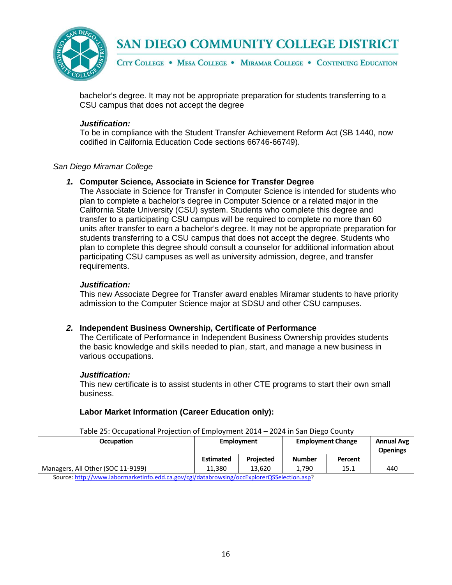

CITY COLLEGE . MESA COLLEGE . MIRAMAR COLLEGE . CONTINUING EDUCATION

bachelor's degree. It may not be appropriate preparation for students transferring to a CSU campus that does not accept the degree

### *Justification:*

To be in compliance with the Student Transfer Achievement Reform Act (SB 1440, now codified in California Education Code sections 66746-66749).

### *San Diego Miramar College*

### *1.* **Computer Science, Associate in Science for Transfer Degree**

The Associate in Science for Transfer in Computer Science is intended for students who plan to complete a bachelor's degree in Computer Science or a related major in the California State University (CSU) system. Students who complete this degree and transfer to a participating CSU campus will be required to complete no more than 60 units after transfer to earn a bachelor's degree. It may not be appropriate preparation for students transferring to a CSU campus that does not accept the degree. Students who plan to complete this degree should consult a counselor for additional information about participating CSU campuses as well as university admission, degree, and transfer requirements.

### *Justification:*

This new Associate Degree for Transfer award enables Miramar students to have priority admission to the Computer Science major at SDSU and other CSU campuses.

### *2.* **Independent Business Ownership, Certificate of Performance**

The Certificate of Performance in Independent Business Ownership provides students the basic knowledge and skills needed to plan, start, and manage a new business in various occupations.

### *Justification:*

This new certificate is to assist students in other CTE programs to start their own small business.

### **Labor Market Information (Career Education only):**

| Table 25. Occupational Projection of Employment 2014 – 2024 in 3an Diego County |                   |                  |                          |         |                                      |  |
|---------------------------------------------------------------------------------|-------------------|------------------|--------------------------|---------|--------------------------------------|--|
| <b>Occupation</b>                                                               | <b>Employment</b> |                  | <b>Employment Change</b> |         | <b>Annual Avg</b><br><b>Openings</b> |  |
|                                                                                 | <b>Estimated</b>  | <b>Projected</b> | <b>Number</b>            | Percent |                                      |  |
| Managers, All Other (SOC 11-9199)                                               | 11.380            | 13.620           | 1.790                    | 15.1    | 440                                  |  |
| .                                                                               |                   |                  |                          |         |                                      |  |

Table 25: Occupational Projection of Employment 2014 – 2024 in San Diego County

Source[: http://www.labormarketinfo.edd.ca.gov/cgi/databrowsing/occExplorerQSSelection.asp?](http://www.labormarketinfo.edd.ca.gov/cgi/databrowsing/occExplorerQSSelection.asp)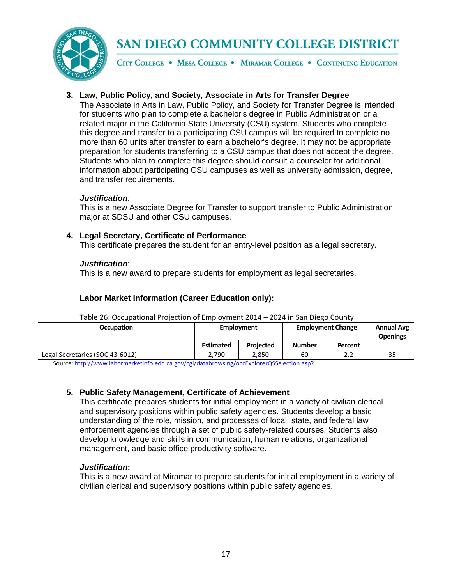

CITY COLLEGE . MESA COLLEGE . MIRAMAR COLLEGE . CONTINUING EDUCATION

## **3. Law, Public Policy, and Society, Associate in Arts for Transfer Degree**

The Associate in Arts in Law, Public Policy, and Society for Transfer Degree is intended for students who plan to complete a bachelor's degree in Public Administration or a related major in the California State University (CSU) system. Students who complete this degree and transfer to a participating CSU campus will be required to complete no more than 60 units after transfer to earn a bachelor's degree. It may not be appropriate preparation for students transferring to a CSU campus that does not accept the degree. Students who plan to complete this degree should consult a counselor for additional information about participating CSU campuses as well as university admission, degree, and transfer requirements.

## *Justification*:

This is a new Associate Degree for Transfer to support transfer to Public Administration major at SDSU and other CSU campuses.

### **4. Legal Secretary, Certificate of Performance**

This certificate prepares the student for an entry-level position as a legal secretary.

### *Justification*:

This is a new award to prepare students for employment as legal secretaries.

## **Labor Market Information (Career Education only):**

| rable 20. Occupational Projection or Employment 2014 – 2024 in 3an Diego County            |                  |                  |                          |         |                                      |  |
|--------------------------------------------------------------------------------------------|------------------|------------------|--------------------------|---------|--------------------------------------|--|
| <b>Occupation</b>                                                                          | Employment       |                  | <b>Employment Change</b> |         | <b>Annual Avg</b><br><b>Openings</b> |  |
|                                                                                            | <b>Estimated</b> | <b>Projected</b> | <b>Number</b>            | Percent |                                      |  |
| Legal Secretaries (SOC 43-6012)                                                            | 2.790            | 2.850            | 60                       | 2.2     | 35                                   |  |
| Source: http://www.labormarketinfo.edd.ca.gov/cgi/databrowsing/occExplorerQSSelection.asp? |                  |                  |                          |         |                                      |  |

### Table 26: Occupational Projection of Employment 2014 – 2024 in San Diego County

## **5. Public Safety Management, Certificate of Achievement**

This certificate prepares students for initial employment in a variety of civilian clerical and supervisory positions within public safety agencies. Students develop a basic understanding of the role, mission, and processes of local, state, and federal law enforcement agencies through a set of public safety-related courses. Students also develop knowledge and skills in communication, human relations, organizational management, and basic office productivity software.

## *Justification***:**

This is a new award at Miramar to prepare students for initial employment in a variety of civilian clerical and supervisory positions within public safety agencies.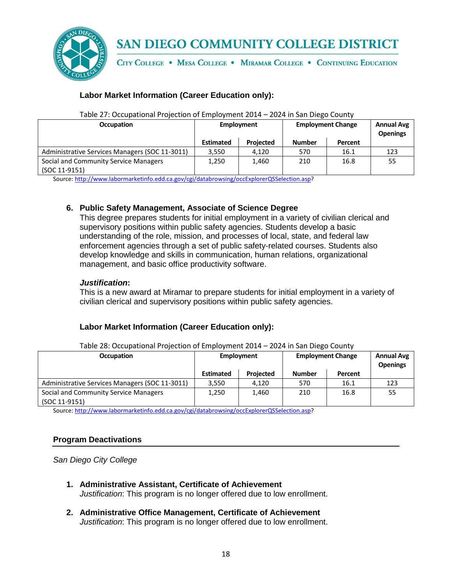

CITY COLLEGE . MESA COLLEGE . MIRAMAR COLLEGE . CONTINUING EDUCATION

## **Labor Market Information (Career Education only):**

| <b>Occupation</b>                                      | Employment       |                  |               | <b>Employment Change</b> | <b>Annual Avg</b><br><b>Openings</b> |
|--------------------------------------------------------|------------------|------------------|---------------|--------------------------|--------------------------------------|
|                                                        | <b>Estimated</b> | <b>Projected</b> | <b>Number</b> | Percent                  |                                      |
| Administrative Services Managers (SOC 11-3011)         | 3,550            | 4.120            | 570           | 16.1                     | 123                                  |
| Social and Community Service Managers<br>(SOC 11-9151) | 1,250            | 1.460            | 210           | 16.8                     | 55                                   |

### Table 27: Occupational Projection of Employment 2014 – 2024 in San Diego County

Source[: http://www.labormarketinfo.edd.ca.gov/cgi/databrowsing/occExplorerQSSelection.asp?](http://www.labormarketinfo.edd.ca.gov/cgi/databrowsing/occExplorerQSSelection.asp)

### **6. Public Safety Management, Associate of Science Degree**

This degree prepares students for initial employment in a variety of civilian clerical and supervisory positions within public safety agencies. Students develop a basic understanding of the role, mission, and processes of local, state, and federal law enforcement agencies through a set of public safety-related courses. Students also develop knowledge and skills in communication, human relations, organizational management, and basic office productivity software.

### *Justification***:**

This is a new award at Miramar to prepare students for initial employment in a variety of civilian clerical and supervisory positions within public safety agencies.

## **Labor Market Information (Career Education only):**

| Table 28: Occupational Projection of Employment 2014 - 2024 in San Diego County |  |  |
|---------------------------------------------------------------------------------|--|--|
|                                                                                 |  |  |

| <b>Occupation</b>                                      | Employment       |                  | <b>Employment Change</b> |         | <b>Annual Avg</b><br><b>Openings</b> |
|--------------------------------------------------------|------------------|------------------|--------------------------|---------|--------------------------------------|
|                                                        | <b>Estimated</b> | <b>Projected</b> | <b>Number</b>            | Percent |                                      |
| Administrative Services Managers (SOC 11-3011)         | 3,550            | 4.120            | 570                      | 16.1    | 123                                  |
| Social and Community Service Managers<br>(SOC 11-9151) | 1,250            | 1,460            | 210                      | 16.8    | 55                                   |

Source[: http://www.labormarketinfo.edd.ca.gov/cgi/databrowsing/occExplorerQSSelection.asp?](http://www.labormarketinfo.edd.ca.gov/cgi/databrowsing/occExplorerQSSelection.asp)

### **Program Deactivations**

*San Diego City College*

- **1. Administrative Assistant, Certificate of Achievement** *Justification*: This program is no longer offered due to low enrollment.
- **2. Administrative Office Management, Certificate of Achievement** *Justification*: This program is no longer offered due to low enrollment.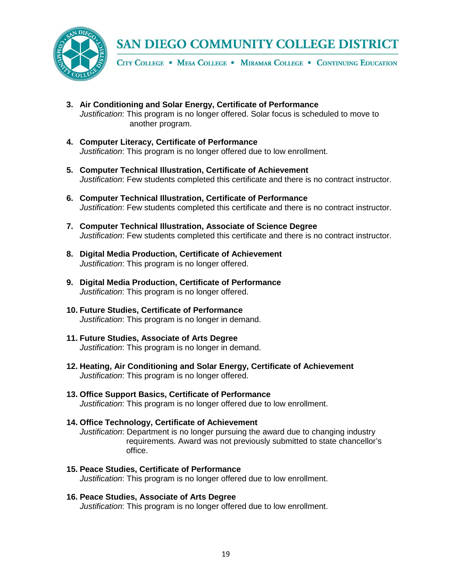

CITY COLLEGE . MESA COLLEGE . MIRAMAR COLLEGE . CONTINUING EDUCATION

- **3. Air Conditioning and Solar Energy, Certificate of Performance** *Justification*: This program is no longer offered. Solar focus is scheduled to move to another program.
- **4. Computer Literacy, Certificate of Performance** *Justification*: This program is no longer offered due to low enrollment.
- **5. Computer Technical Illustration, Certificate of Achievement** *Justification*: Few students completed this certificate and there is no contract instructor.
- **6. Computer Technical Illustration, Certificate of Performance** *Justification*: Few students completed this certificate and there is no contract instructor.
- **7. Computer Technical Illustration, Associate of Science Degree** *Justification*: Few students completed this certificate and there is no contract instructor.
- **8. Digital Media Production, Certificate of Achievement** *Justification*: This program is no longer offered.
- **9. Digital Media Production, Certificate of Performance** *Justification*: This program is no longer offered.
- **10. Future Studies, Certificate of Performance** *Justification*: This program is no longer in demand.
- **11. Future Studies, Associate of Arts Degree** *Justification*: This program is no longer in demand.
- **12. Heating, Air Conditioning and Solar Energy, Certificate of Achievement** *Justification*: This program is no longer offered.
- **13. Office Support Basics, Certificate of Performance** *Justification*: This program is no longer offered due to low enrollment.
- **14. Office Technology, Certificate of Achievement** *Justification*: Department is no longer pursuing the award due to changing industry requirements. Award was not previously submitted to state chancellor's office.
- **15. Peace Studies, Certificate of Performance** *Justification*: This program is no longer offered due to low enrollment.
- **16. Peace Studies, Associate of Arts Degree** *Justification*: This program is no longer offered due to low enrollment.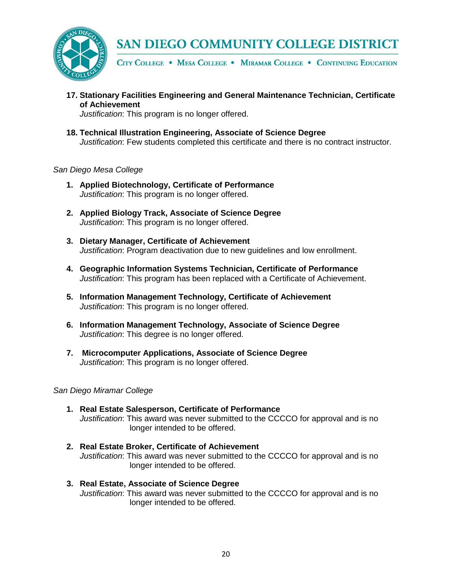

CITY COLLEGE . MESA COLLEGE . MIRAMAR COLLEGE . CONTINUING EDUCATION

**17. Stationary Facilities Engineering and General Maintenance Technician, Certificate of Achievement**

*Justification*: This program is no longer offered.

**18. Technical Illustration Engineering, Associate of Science Degree** *Justification*: Few students completed this certificate and there is no contract instructor.

### *San Diego Mesa College*

- **1. Applied Biotechnology, Certificate of Performance** *Justification*: This program is no longer offered.
- **2. Applied Biology Track, Associate of Science Degree** *Justification*: This program is no longer offered.
- **3. Dietary Manager, Certificate of Achievement** *Justification*: Program deactivation due to new guidelines and low enrollment.
- **4. Geographic Information Systems Technician, Certificate of Performance** *Justification*: This program has been replaced with a Certificate of Achievement.
- **5. Information Management Technology, Certificate of Achievement** *Justification*: This program is no longer offered.
- **6. Information Management Technology, Associate of Science Degree** *Justification*: This degree is no longer offered.
- **7. Microcomputer Applications, Associate of Science Degree** *Justification*: This program is no longer offered.

*San Diego Miramar College*

- **1. Real Estate Salesperson, Certificate of Performance** *Justification*: This award was never submitted to the CCCCO for approval and is no longer intended to be offered.
- **2. Real Estate Broker, Certificate of Achievement** *Justification*: This award was never submitted to the CCCCO for approval and is no longer intended to be offered.
- **3. Real Estate, Associate of Science Degree** *Justification*: This award was never submitted to the CCCCO for approval and is no longer intended to be offered.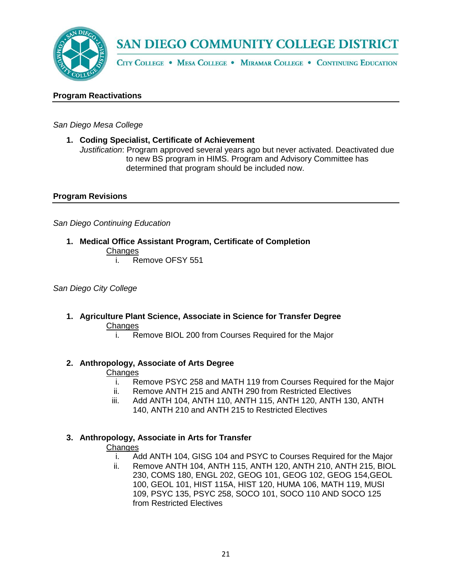

CITY COLLEGE . MESA COLLEGE . MIRAMAR COLLEGE . CONTINUING EDUCATION

### **Program Reactivations**

*San Diego Mesa College*

**1. Coding Specialist, Certificate of Achievement**

*Justification*: Program approved several years ago but never activated. Deactivated due to new BS program in HIMS. Program and Advisory Committee has determined that program should be included now.

## **Program Revisions**

*San Diego Continuing Education*

- **1. Medical Office Assistant Program, Certificate of Completion Changes** 
	- i. Remove OFSY 551

*San Diego City College*

- **1. Agriculture Plant Science, Associate in Science for Transfer Degree Changes** 
	- i. Remove BIOL 200 from Courses Required for the Major

### **2. Anthropology, Associate of Arts Degree**

### **Changes**

- i. Remove PSYC 258 and MATH 119 from Courses Required for the Major
- ii. Remove ANTH 215 and ANTH 290 from Restricted Electives
- iii. Add ANTH 104, ANTH 110, ANTH 115, ANTH 120, ANTH 130, ANTH 140, ANTH 210 and ANTH 215 to Restricted Electives

## **3. Anthropology, Associate in Arts for Transfer**

- i. Add ANTH 104, GISG 104 and PSYC to Courses Required for the Major
- ii. Remove ANTH 104, ANTH 115, ANTH 120, ANTH 210, ANTH 215, BIOL 230, COMS 180, ENGL 202, GEOG 101, GEOG 102, GEOG 154,GEOL 100, GEOL 101, HIST 115A, HIST 120, HUMA 106, MATH 119, MUSI 109, PSYC 135, PSYC 258, SOCO 101, SOCO 110 AND SOCO 125 from Restricted Electives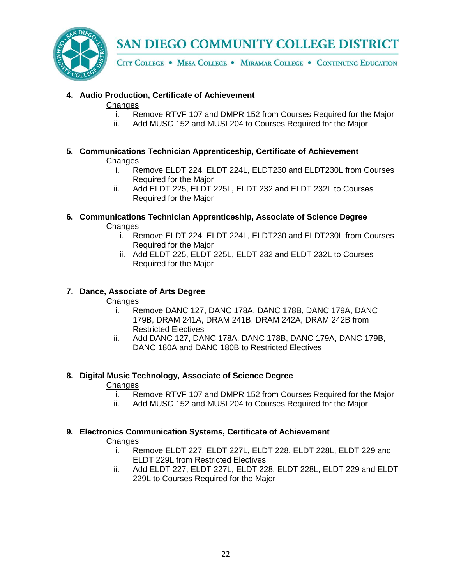

CITY COLLEGE . MESA COLLEGE . MIRAMAR COLLEGE . CONTINUING EDUCATION

## **4. Audio Production, Certificate of Achievement**

## **Changes**

- i. Remove RTVF 107 and DMPR 152 from Courses Required for the Major
- ii. Add MUSC 152 and MUSI 204 to Courses Required for the Major
- **5. Communications Technician Apprenticeship, Certificate of Achievement Changes** 
	- i. Remove ELDT 224, ELDT 224L, ELDT230 and ELDT230L from Courses Required for the Major
	- ii. Add ELDT 225, ELDT 225L, ELDT 232 and ELDT 232L to Courses Required for the Major
- **6. Communications Technician Apprenticeship, Associate of Science Degree Changes** 
	- i. Remove ELDT 224, ELDT 224L, ELDT230 and ELDT230L from Courses Required for the Major
	- ii. Add ELDT 225, ELDT 225L, ELDT 232 and ELDT 232L to Courses Required for the Major

## **7. Dance, Associate of Arts Degree**

## **Changes**

- i. Remove DANC 127, DANC 178A, DANC 178B, DANC 179A, DANC 179B, DRAM 241A, DRAM 241B, DRAM 242A, DRAM 242B from Restricted Electives
- ii. Add DANC 127, DANC 178A, DANC 178B, DANC 179A, DANC 179B, DANC 180A and DANC 180B to Restricted Electives

## **8. Digital Music Technology, Associate of Science Degree**

## **Changes**

- i. Remove RTVF 107 and DMPR 152 from Courses Required for the Major
- ii. Add MUSC 152 and MUSI 204 to Courses Required for the Major

## **9. Electronics Communication Systems, Certificate of Achievement**

- i. Remove ELDT 227, ELDT 227L, ELDT 228, ELDT 228L, ELDT 229 and ELDT 229L from Restricted Electives
- ii. Add ELDT 227, ELDT 227L, ELDT 228, ELDT 228L, ELDT 229 and ELDT 229L to Courses Required for the Major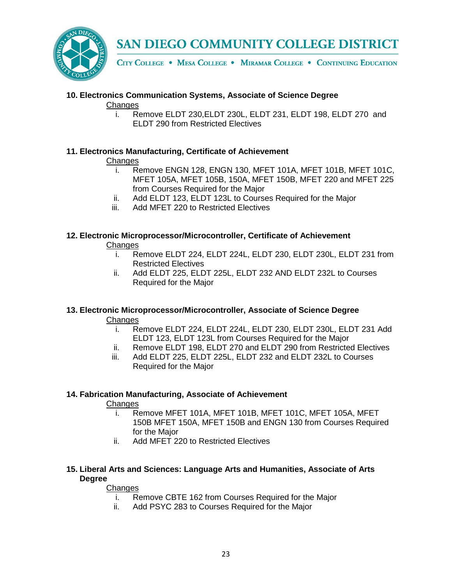

CITY COLLEGE . MESA COLLEGE . MIRAMAR COLLEGE . CONTINUING EDUCATION

# **10. Electronics Communication Systems, Associate of Science Degree**

## **Changes**

i. Remove ELDT 230,ELDT 230L, ELDT 231, ELDT 198, ELDT 270 and ELDT 290 from Restricted Electives

## **11. Electronics Manufacturing, Certificate of Achievement**

## **Changes**

- i. Remove ENGN 128, ENGN 130, MFET 101A, MFET 101B, MFET 101C, MFET 105A, MFET 105B, 150A, MFET 150B, MFET 220 and MFET 225 from Courses Required for the Major
- ii. Add ELDT 123, ELDT 123L to Courses Required for the Major
- iii. Add MFET 220 to Restricted Electives

## **12. Electronic Microprocessor/Microcontroller, Certificate of Achievement Changes**

- i. Remove ELDT 224, ELDT 224L, ELDT 230, ELDT 230L, ELDT 231 from Restricted Electives
- ii. Add ELDT 225, ELDT 225L, ELDT 232 AND ELDT 232L to Courses Required for the Major

## **13. Electronic Microprocessor/Microcontroller, Associate of Science Degree Changes**

- i. Remove ELDT 224, ELDT 224L, ELDT 230, ELDT 230L, ELDT 231 Add ELDT 123, ELDT 123L from Courses Required for the Major
- ii. Remove ELDT 198, ELDT 270 and ELDT 290 from Restricted Electives
- iii. Add ELDT 225, ELDT 225L, ELDT 232 and ELDT 232L to Courses Required for the Major

## **14. Fabrication Manufacturing, Associate of Achievement**

## **Changes**

- i. Remove MFET 101A, MFET 101B, MFET 101C, MFET 105A, MFET 150B MFET 150A, MFET 150B and ENGN 130 from Courses Required for the Major
- ii. Add MFET 220 to Restricted Electives

## **15. Liberal Arts and Sciences: Language Arts and Humanities, Associate of Arts Degree**

- i. Remove CBTE 162 from Courses Required for the Major
- ii. Add PSYC 283 to Courses Required for the Major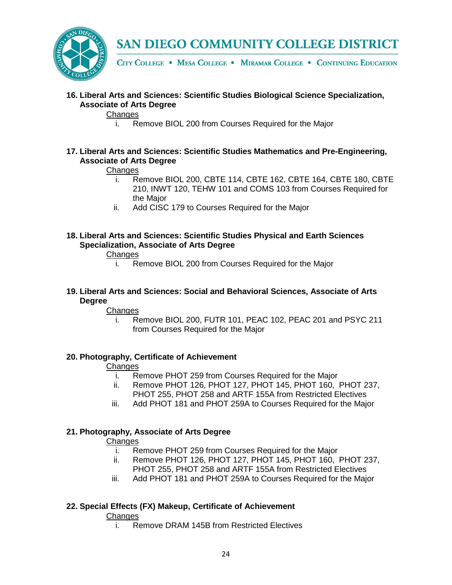

CITY COLLEGE . MESA COLLEGE . MIRAMAR COLLEGE . CONTINUING EDUCATION

**16. Liberal Arts and Sciences: Scientific Studies Biological Science Specialization, Associate of Arts Degree**

## Changes

i. Remove BIOL 200 from Courses Required for the Major

## **17. Liberal Arts and Sciences: Scientific Studies Mathematics and Pre-Engineering, Associate of Arts Degree**

## **Changes**

- i. Remove BIOL 200, CBTE 114, CBTE 162, CBTE 164, CBTE 180, CBTE 210, INWT 120, TEHW 101 and COMS 103 from Courses Required for the Major
- ii. Add CISC 179 to Courses Required for the Major
- **18. Liberal Arts and Sciences: Scientific Studies Physical and Earth Sciences Specialization, Associate of Arts Degree**

## Changes

- i. Remove BIOL 200 from Courses Required for the Major
- **19. Liberal Arts and Sciences: Social and Behavioral Sciences, Associate of Arts Degree**

## **Changes**

i. Remove BIOL 200, FUTR 101, PEAC 102, PEAC 201 and PSYC 211 from Courses Required for the Major

## **20. Photography, Certificate of Achievement**

## **Changes**

- i. Remove PHOT 259 from Courses Required for the Major
- ii. Remove PHOT 126, PHOT 127, PHOT 145, PHOT 160, PHOT 237, PHOT 255, PHOT 258 and ARTF 155A from Restricted Electives
- iii. Add PHOT 181 and PHOT 259A to Courses Required for the Major

## **21. Photography, Associate of Arts Degree**

## **Changes**

- i. Remove PHOT 259 from Courses Required for the Major
- ii. Remove PHOT 126, PHOT 127, PHOT 145, PHOT 160, PHOT 237, PHOT 255, PHOT 258 and ARTF 155A from Restricted Electives
- iii. Add PHOT 181 and PHOT 259A to Courses Required for the Major

## **22. Special Effects (FX) Makeup, Certificate of Achievement**

## **Changes**

i. Remove DRAM 145B from Restricted Electives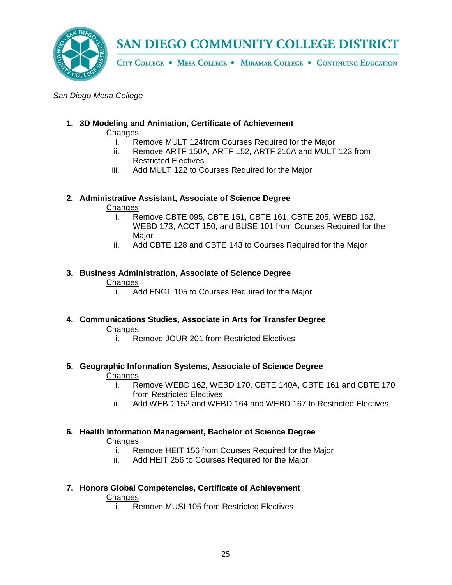

CITY COLLEGE . MESA COLLEGE . MIRAMAR COLLEGE . CONTINUING EDUCATION

### *San Diego Mesa College*

## **1. 3D Modeling and Animation, Certificate of Achievement**

**Changes** 

- i. Remove MULT 124from Courses Required for the Major
- ii. Remove ARTF 150A, ARTF 152, ARTF 210A and MULT 123 from Restricted Electives
- iii. Add MULT 122 to Courses Required for the Major

## **2. Administrative Assistant, Associate of Science Degree**

## Changes

- i. Remove CBTE 095, CBTE 151, CBTE 161, CBTE 205, WEBD 162, WEBD 173, ACCT 150, and BUSE 101 from Courses Required for the Major
- ii. Add CBTE 128 and CBTE 143 to Courses Required for the Major

## **3. Business Administration, Associate of Science Degree Changes**

- i. Add ENGL 105 to Courses Required for the Major
- **4. Communications Studies, Associate in Arts for Transfer Degree** Changes
	- i. Remove JOUR 201 from Restricted Electives

## **5. Geographic Information Systems, Associate of Science Degree**

## **Changes**

- i. Remove WEBD 162, WEBD 170, CBTE 140A, CBTE 161 and CBTE 170 from Restricted Electives
- ii. Add WEBD 152 and WEBD 164 and WEBD 167 to Restricted Electives

#### **6. Health Information Management, Bachelor of Science Degree Changes**

- i. Remove HEIT 156 from Courses Required for the Major
- ii. Add HEIT 256 to Courses Required for the Major

## **7. Honors Global Competencies, Certificate of Achievement**

## **Changes**

i. Remove MUSI 105 from Restricted Electives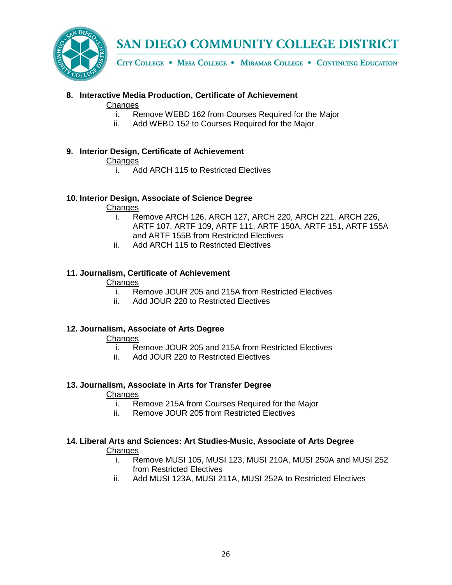

CITY COLLEGE . MESA COLLEGE . MIRAMAR COLLEGE . CONTINUING EDUCATION

## **8. Interactive Media Production, Certificate of Achievement**

## **Changes**

- i. Remove WEBD 162 from Courses Required for the Major
- ii. Add WEBD 152 to Courses Required for the Major

## **9. Interior Design, Certificate of Achievement**

## Changes

i. Add ARCH 115 to Restricted Electives

## **10. Interior Design, Associate of Science Degree**

## Changes

- i. Remove ARCH 126, ARCH 127, ARCH 220, ARCH 221, ARCH 226, ARTF 107, ARTF 109, ARTF 111, ARTF 150A, ARTF 151, ARTF 155A and ARTF 155B from Restricted Electives
- ii. Add ARCH 115 to Restricted Electives

## **11. Journalism, Certificate of Achievement**

## **Changes**

- i. Remove JOUR 205 and 215A from Restricted Electives<br>ii. Add JOUR 220 to Restricted Electives
- Add JOUR 220 to Restricted Electives

## **12. Journalism, Associate of Arts Degree**

## **Changes**

- i. Remove JOUR 205 and 215A from Restricted Electives
- ii. Add JOUR 220 to Restricted Electives

## **13. Journalism, Associate in Arts for Transfer Degree**

## Changes

- i. Remove 215A from Courses Required for the Major
- ii. Remove JOUR 205 from Restricted Electives

# **14. Liberal Arts and Sciences: Art Studies-Music, Associate of Arts Degree**

- i. Remove MUSI 105, MUSI 123, MUSI 210A, MUSI 250A and MUSI 252 from Restricted Electives
- ii. Add MUSI 123A, MUSI 211A, MUSI 252A to Restricted Electives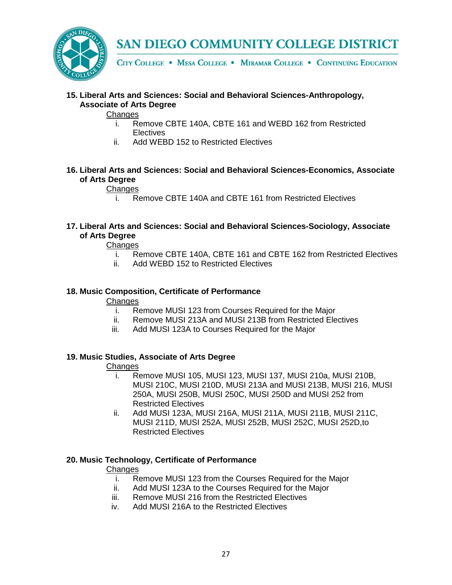

CITY COLLEGE . MESA COLLEGE . MIRAMAR COLLEGE . CONTINUING EDUCATION

**15. Liberal Arts and Sciences: Social and Behavioral Sciences-Anthropology, Associate of Arts Degree**

## Changes

- i. Remove CBTE 140A, CBTE 161 and WEBD 162 from Restricted **Electives**
- ii. Add WEBD 152 to Restricted Electives
- **16. Liberal Arts and Sciences: Social and Behavioral Sciences-Economics, Associate of Arts Degree**

## **Changes**

i. Remove CBTE 140A and CBTE 161 from Restricted Electives

**17. Liberal Arts and Sciences: Social and Behavioral Sciences-Sociology, Associate of Arts Degree**

## **Changes**

- i. Remove CBTE 140A, CBTE 161 and CBTE 162 from Restricted Electives
- ii. Add WEBD 152 to Restricted Electives

## **18. Music Composition, Certificate of Performance**

**Changes** 

- i. Remove MUSI 123 from Courses Required for the Major
- ii. Remove MUSI 213A and MUSI 213B from Restricted Electives
- iii. Add MUSI 123A to Courses Required for the Major

### **19. Music Studies, Associate of Arts Degree**

## **Changes**

- i. Remove MUSI 105, MUSI 123, MUSI 137, MUSI 210a, MUSI 210B, MUSI 210C, MUSI 210D, MUSI 213A and MUSI 213B, MUSI 216, MUSI 250A, MUSI 250B, MUSI 250C, MUSI 250D and MUSI 252 from Restricted Electives
- ii. Add MUSI 123A, MUSI 216A, MUSI 211A, MUSI 211B, MUSI 211C, MUSI 211D, MUSI 252A, MUSI 252B, MUSI 252C, MUSI 252D,to Restricted Electives

## **20. Music Technology, Certificate of Performance**

- i. Remove MUSI 123 from the Courses Required for the Major
- ii. Add MUSI 123A to the Courses Required for the Major
- iii. Remove MUSI 216 from the Restricted Electives
- iv. Add MUSI 216A to the Restricted Electives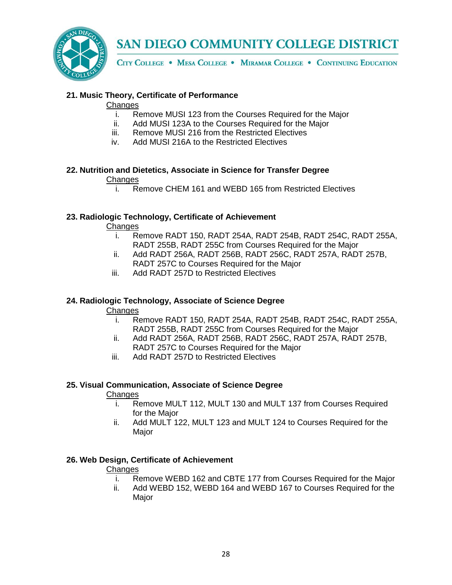

CITY COLLEGE . MESA COLLEGE . MIRAMAR COLLEGE . CONTINUING EDUCATION

## **21. Music Theory, Certificate of Performance**

### **Changes**

- i. Remove MUSI 123 from the Courses Required for the Major
- ii. Add MUSI 123A to the Courses Required for the Major
- iii. Remove MUSI 216 from the Restricted Electives
- iv. Add MUSI 216A to the Restricted Electives

#### **22. Nutrition and Dietetics, Associate in Science for Transfer Degree Changes**

i. Remove CHEM 161 and WEBD 165 from Restricted Electives

## **23. Radiologic Technology, Certificate of Achievement**

**Changes** 

- i. Remove RADT 150, RADT 254A, RADT 254B, RADT 254C, RADT 255A, RADT 255B, RADT 255C from Courses Required for the Major
- ii. Add RADT 256A, RADT 256B, RADT 256C, RADT 257A, RADT 257B, RADT 257C to Courses Required for the Major
- iii. Add RADT 257D to Restricted Electives

## **24. Radiologic Technology, Associate of Science Degree**

## **Changes**

- i. Remove RADT 150, RADT 254A, RADT 254B, RADT 254C, RADT 255A, RADT 255B, RADT 255C from Courses Required for the Major
- ii. Add RADT 256A, RADT 256B, RADT 256C, RADT 257A, RADT 257B, RADT 257C to Courses Required for the Major
- iii. Add RADT 257D to Restricted Electives

## **25. Visual Communication, Associate of Science Degree**

## **Changes**

- i. Remove MULT 112, MULT 130 and MULT 137 from Courses Required for the Major
- ii. Add MULT 122, MULT 123 and MULT 124 to Courses Required for the Major

## **26. Web Design, Certificate of Achievement**

- i. Remove WEBD 162 and CBTE 177 from Courses Required for the Major
- ii. Add WEBD 152, WEBD 164 and WEBD 167 to Courses Required for the Major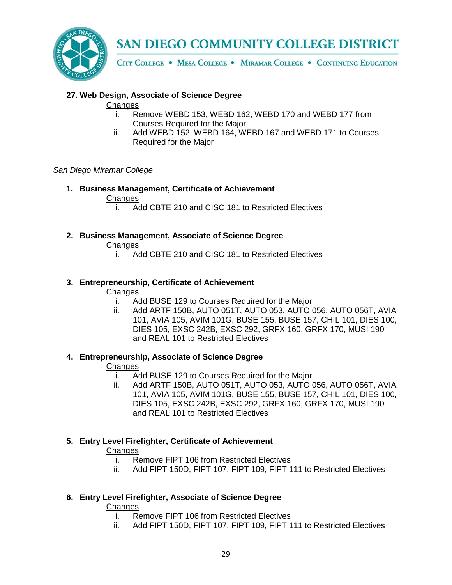

CITY COLLEGE . MESA COLLEGE . MIRAMAR COLLEGE . CONTINUING EDUCATION

## **27. Web Design, Associate of Science Degree**

## **Changes**

- i. Remove WEBD 153, WEBD 162, WEBD 170 and WEBD 177 from Courses Required for the Major
- ii. Add WEBD 152, WEBD 164, WEBD 167 and WEBD 171 to Courses Required for the Major

## *San Diego Miramar College*

- **1. Business Management, Certificate of Achievement Changes** 
	- i. Add CBTE 210 and CISC 181 to Restricted Electives

## **2. Business Management, Associate of Science Degree**

## **Changes**

i. Add CBTE 210 and CISC 181 to Restricted Electives

## **3. Entrepreneurship, Certificate of Achievement**

## **Changes**

- i. Add BUSE 129 to Courses Required for the Major
- ii. Add ARTF 150B, AUTO 051T, AUTO 053, AUTO 056, AUTO 056T, AVIA 101, AVIA 105, AVIM 101G, BUSE 155, BUSE 157, CHIL 101, DIES 100, DIES 105, EXSC 242B, EXSC 292, GRFX 160, GRFX 170, MUSI 190 and REAL 101 to Restricted Electives

## **4. Entrepreneurship, Associate of Science Degree**

## **Changes**

- i. Add BUSE 129 to Courses Required for the Major
- ii. Add ARTF 150B, AUTO 051T, AUTO 053, AUTO 056, AUTO 056T, AVIA 101, AVIA 105, AVIM 101G, BUSE 155, BUSE 157, CHIL 101, DIES 100, DIES 105, EXSC 242B, EXSC 292, GRFX 160, GRFX 170, MUSI 190 and REAL 101 to Restricted Electives

## **5. Entry Level Firefighter, Certificate of Achievement**

## **Changes**

- i. Remove FIPT 106 from Restricted Electives
- ii. Add FIPT 150D, FIPT 107, FIPT 109, FIPT 111 to Restricted Electives

## **6. Entry Level Firefighter, Associate of Science Degree**

# Changes<br>R

- i. Remove FIPT 106 from Restricted Electives<br>ii. Add FIPT 150D, FIPT 107, FIPT 109, FIPT 1
- Add FIPT 150D, FIPT 107, FIPT 109, FIPT 111 to Restricted Electives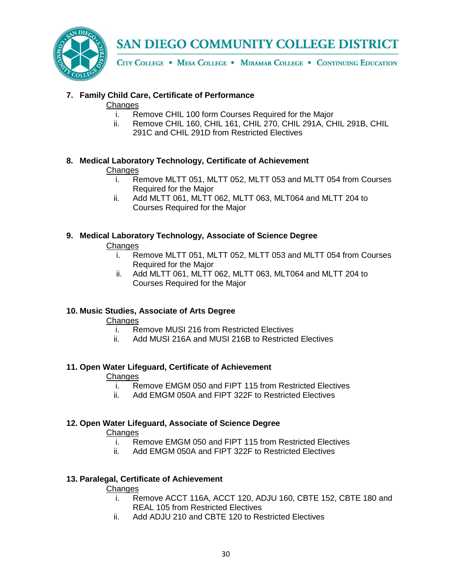

CITY COLLEGE . MESA COLLEGE . MIRAMAR COLLEGE . CONTINUING EDUCATION

## **7. Family Child Care, Certificate of Performance**

## **Changes**

- i. Remove CHIL 100 form Courses Required for the Major
- ii. Remove CHIL 160, CHIL 161, CHIL 270, CHIL 291A, CHIL 291B, CHIL 291C and CHIL 291D from Restricted Electives

## **8. Medical Laboratory Technology, Certificate of Achievement**

## **Changes**

- i. Remove MLTT 051, MLTT 052, MLTT 053 and MLTT 054 from Courses Required for the Major
- ii. Add MLTT 061, MLTT 062, MLTT 063, MLT064 and MLTT 204 to Courses Required for the Major

## **9. Medical Laboratory Technology, Associate of Science Degree**

## **Changes**

- i. Remove MLTT 051, MLTT 052, MLTT 053 and MLTT 054 from Courses Required for the Major
- ii. Add MLTT 061, MLTT 062, MLTT 063, MLT064 and MLTT 204 to Courses Required for the Major

## **10. Music Studies, Associate of Arts Degree**

## Changes

- i. Remove MUSI 216 from Restricted Electives<br>ii. Add MUSI 216A and MUSI 216B to Restricted
- Add MUSI 216A and MUSI 216B to Restricted Electives

## **11. Open Water Lifeguard, Certificate of Achievement**

# Changes<br>i. Re

- Remove EMGM 050 and FIPT 115 from Restricted Electives
- ii. Add EMGM 050A and FIPT 322F to Restricted Electives

## **12. Open Water Lifeguard, Associate of Science Degree**

## **Changes**

- i. Remove EMGM 050 and FIPT 115 from Restricted Electives
- ii. Add EMGM 050A and FIPT 322F to Restricted Electives

## **13. Paralegal, Certificate of Achievement**

- i. Remove ACCT 116A, ACCT 120, ADJU 160, CBTE 152, CBTE 180 and REAL 105 from Restricted Electives
- ii. Add ADJU 210 and CBTE 120 to Restricted Electives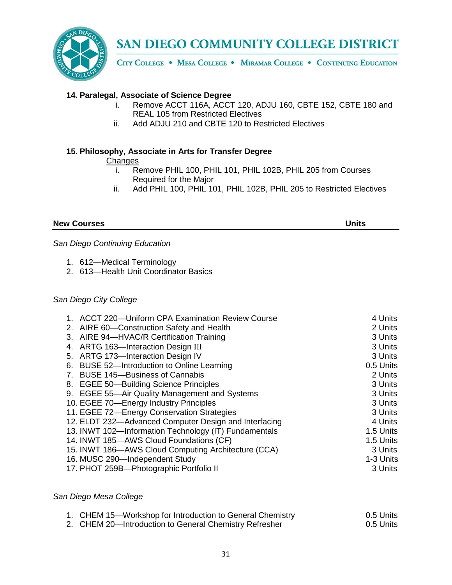

CITY COLLEGE . MESA COLLEGE . MIRAMAR COLLEGE . CONTINUING EDUCATION

## **14. Paralegal, Associate of Science Degree**

- i. Remove ACCT 116A, ACCT 120, ADJU 160, CBTE 152, CBTE 180 and REAL 105 from Restricted Electives
- ii. Add ADJU 210 and CBTE 120 to Restricted Electives

## **15. Philosophy, Associate in Arts for Transfer Degree**

Changes<br>i. R

- Remove PHIL 100, PHIL 101, PHIL 102B, PHIL 205 from Courses Required for the Major
- ii. Add PHIL 100, PHIL 101, PHIL 102B, PHIL 205 to Restricted Electives

### **New Courses Units**

*San Diego Continuing Education*

- 1. 612—Medical Terminology
- 2. 613—Health Unit Coordinator Basics

## *San Diego City College*

| 1. ACCT 220-Uniform CPA Examination Review Course     | 4 Units   |
|-------------------------------------------------------|-----------|
|                                                       |           |
| 2. AIRE 60-Construction Safety and Health             | 2 Units   |
| 3. AIRE 94-HVAC/R Certification Training              | 3 Units   |
| 4. ARTG 163-Interaction Design III                    | 3 Units   |
| 5. ARTG 173-Interaction Design IV                     | 3 Units   |
| 6. BUSE 52-Introduction to Online Learning            | 0.5 Units |
| <b>BUSE 145-Business of Cannabis</b><br>7.            | 2 Units   |
| 8. EGEE 50-Building Science Principles                | 3 Units   |
| 9. EGEE 55—Air Quality Management and Systems         | 3 Units   |
| 10. EGEE 70-Energy Industry Principles                | 3 Units   |
| 11. EGEE 72-Energy Conservation Strategies            | 3 Units   |
| 12. ELDT 232-Advanced Computer Design and Interfacing | 4 Units   |
| 13. INWT 102-Information Technology (IT) Fundamentals | 1.5 Units |
| 14. INWT 185-AWS Cloud Foundations (CF)               | 1.5 Units |
| 15. INWT 186-AWS Cloud Computing Architecture (CCA)   | 3 Units   |
| 16. MUSC 290-Independent Study                        | 1-3 Units |
| 17. PHOT 259B-Photographic Portfolio II               | 3 Units   |

### *San Diego Mesa College*

| 1. CHEM 15—Workshop for Introduction to General Chemistry | 0.5 Units |
|-----------------------------------------------------------|-----------|
| 2. CHEM 20—Introduction to General Chemistry Refresher    | 0.5 Units |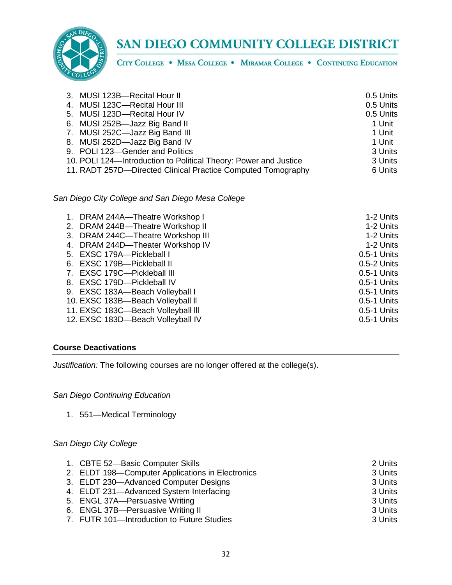

CITY COLLEGE . MESA COLLEGE . MIRAMAR COLLEGE . CONTINUING EDUCATION

| 3. MUSI 123B-Recital Hour II                                     | 0.5 Units |
|------------------------------------------------------------------|-----------|
| 4. MUSI 123C-Recital Hour III                                    | 0.5 Units |
| 5. MUSI 123D-Recital Hour IV                                     | 0.5 Units |
| 6. MUSI 252B-Jazz Big Band II                                    | 1 Unit    |
| 7. MUSI 252C-Jazz Big Band III                                   | 1 Unit    |
| 8. MUSI 252D-Jazz Big Band IV                                    | 1 Unit    |
| 9. POLI 123-Gender and Politics                                  | 3 Units   |
| 10. POLI 124-Introduction to Political Theory: Power and Justice | 3 Units   |
| 11. RADT 257D-Directed Clinical Practice Computed Tomography     | 6 Units   |

*San Diego City College and San Diego Mesa College*

| 1. DRAM 244A-Theatre Workshop I    | 1-2 Units   |
|------------------------------------|-------------|
| 2. DRAM 244B-Theatre Workshop II   | 1-2 Units   |
| 3. DRAM 244C-Theatre Workshop III  | 1-2 Units   |
| 4. DRAM 244D-Theater Workshop IV   | 1-2 Units   |
| 5. EXSC 179A-Pickleball I          | 0.5-1 Units |
| 6. EXSC 179B-Pickleball II         | 0.5-2 Units |
| 7. EXSC 179C-Pickleball III        | 0.5-1 Units |
| 8. EXSC 179D-Pickleball IV         | 0.5-1 Units |
| 9. EXSC 183A-Beach Volleyball I    | 0.5-1 Units |
| 10. EXSC 183B-Beach Volleyball II  | 0.5-1 Units |
| 11. EXSC 183C-Beach Volleyball III | 0.5-1 Units |
| 12. EXSC 183D-Beach Volleyball IV  | 0.5-1 Units |

## **Course Deactivations**

*Justification:* The following courses are no longer offered at the college(s).

*San Diego Continuing Education*

1. 551—Medical Terminology

## *San Diego City College*

| 1. CBTE 52-Basic Computer Skills                 | 2 Units |
|--------------------------------------------------|---------|
| 2. ELDT 198-Computer Applications in Electronics | 3 Units |
| 3. ELDT 230-Advanced Computer Designs            | 3 Units |
| 4. ELDT 231-Advanced System Interfacing          | 3 Units |
| 5. ENGL 37A-Persuasive Writing                   | 3 Units |
| 6. ENGL 37B-Persuasive Writing II                | 3 Units |
| 7. FUTR 101-Introduction to Future Studies       | 3 Units |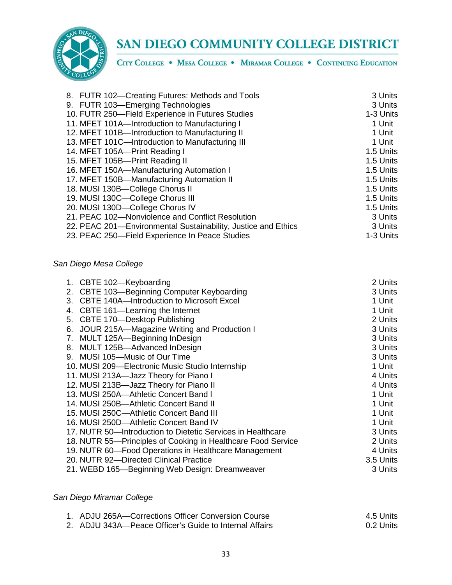

CITY COLLEGE . MESA COLLEGE . MIRAMAR COLLEGE . CONTINUING EDUCATION

| 8. FUTR 102-Creating Futures: Methods and Tools               | 3 Units   |
|---------------------------------------------------------------|-----------|
| 9. FUTR 103-Emerging Technologies                             | 3 Units   |
| 10. FUTR 250-Field Experience in Futures Studies              | 1-3 Units |
| 11. MFET 101A-Introduction to Manufacturing I                 | 1 Unit    |
| 12. MFET 101B-Introduction to Manufacturing II                | 1 Unit    |
| 13. MFET 101C-Introduction to Manufacturing III               | 1 Unit    |
| 14. MFET 105A-Print Reading I                                 | 1.5 Units |
| 15. MFET 105B-Print Reading II                                | 1.5 Units |
| 16. MFET 150A-Manufacturing Automation I                      | 1.5 Units |
| 17. MFET 150B-Manufacturing Automation II                     | 1.5 Units |
| 18. MUSI 130B-College Chorus II                               | 1.5 Units |
| 19. MUSI 130C-College Chorus III                              | 1.5 Units |
| 20. MUSI 130D-College Chorus IV                               | 1.5 Units |
| 21. PEAC 102-Nonviolence and Conflict Resolution              | 3 Units   |
| 22. PEAC 201—Environmental Sustainability, Justice and Ethics | 3 Units   |
| 23. PEAC 250-Field Experience In Peace Studies                | 1-3 Units |

## *San Diego Mesa College*

|    | 1. CBTE 102-Keyboarding                                      | 2 Units   |
|----|--------------------------------------------------------------|-----------|
| 2. | CBTE 103-Beginning Computer Keyboarding                      | 3 Units   |
| 3. | CBTE 140A-Introduction to Microsoft Excel                    | 1 Unit    |
| 4. | CBTE 161—Learning the Internet                               | 1 Unit    |
| 5. | CBTE 170-Desktop Publishing                                  | 2 Units   |
| 6. | JOUR 215A—Magazine Writing and Production I                  | 3 Units   |
| 7. | MULT 125A-Beginning InDesign                                 | 3 Units   |
|    | 8. MULT 125B-Advanced InDesign                               | 3 Units   |
|    | 9. MUSI 105-Music of Our Time                                | 3 Units   |
|    | 10. MUSI 209-Electronic Music Studio Internship              | 1 Unit    |
|    | 11. MUSI 213A-Jazz Theory for Piano I                        | 4 Units   |
|    | 12. MUSI 213B-Jazz Theory for Piano II                       | 4 Units   |
|    | 13. MUSI 250A-Athletic Concert Band I                        | 1 Unit    |
|    | 14. MUSI 250B-Athletic Concert Band II                       | 1 Unit    |
|    | 15. MUSI 250C-Athletic Concert Band III                      | 1 Unit    |
|    | 16. MUSI 250D-Athletic Concert Band IV                       | 1 Unit    |
|    | 17. NUTR 50-Introduction to Dietetic Services in Healthcare  | 3 Units   |
|    | 18. NUTR 55-Principles of Cooking in Healthcare Food Service | 2 Units   |
|    | 19. NUTR 60-Food Operations in Healthcare Management         | 4 Units   |
|    | 20. NUTR 92-Directed Clinical Practice                       | 3.5 Units |
|    | 21. WEBD 165—Beginning Web Design: Dreamweaver               | 3 Units   |

## *San Diego Miramar College*

| 1. ADJU 265A—Corrections Officer Conversion Course     | 4.5 Units  |
|--------------------------------------------------------|------------|
| 2. ADJU 343A—Peace Officer's Guide to Internal Affairs | .0.2 Units |